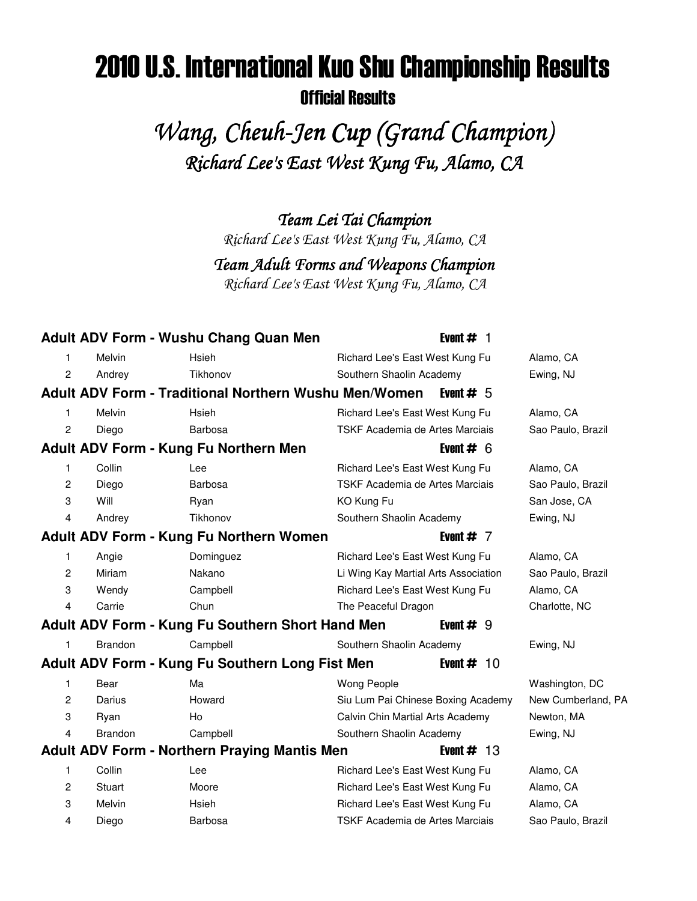# 2010 U.S. International Kuo Shu Championship Results Official Results

Wang, Cheuh-Jen Cup (Grand Champion) Richard Lee's East West Kung Fu, Alamo, CA

Team Lei Tai Champion

Richard Lee's East West Kung Fu, Alamo, CA

Team Adult Forms and Weapons Champion

Richard Lee's East West Kung Fu, Alamo, CA

|                |                | <b>Adult ADV Form - Wushu Chang Quan Men</b>                 | Event $#$ 1                          |                    |
|----------------|----------------|--------------------------------------------------------------|--------------------------------------|--------------------|
| 1              | Melvin         | Hsieh                                                        | Richard Lee's East West Kung Fu      | Alamo, CA          |
| 2              | Andrey         | Tikhonov                                                     | Southern Shaolin Academy             | Ewing, NJ          |
|                |                | <b>Adult ADV Form - Traditional Northern Wushu Men/Women</b> | Event $# 5$                          |                    |
| 1              | Melvin         | Hsieh                                                        | Richard Lee's East West Kung Fu      | Alamo, CA          |
| 2              | Diego          | Barbosa                                                      | TSKF Academia de Artes Marciais      | Sao Paulo, Brazil  |
|                |                | Adult ADV Form - Kung Fu Northern Men                        | Event $# 6$                          |                    |
| 1              | Collin         | Lee                                                          | Richard Lee's East West Kung Fu      | Alamo, CA          |
| 2              | Diego          | Barbosa                                                      | TSKF Academia de Artes Marciais      | Sao Paulo, Brazil  |
| 3              | Will           | Ryan                                                         | KO Kung Fu                           | San Jose, CA       |
| 4              | Andrey         | Tikhonov                                                     | Southern Shaolin Academy             | Ewing, NJ          |
|                |                | Adult ADV Form - Kung Fu Northern Women                      | Event $# 7$                          |                    |
| 1              | Angie          | Dominguez                                                    | Richard Lee's East West Kung Fu      | Alamo, CA          |
| 2              | Miriam         | Nakano                                                       | Li Wing Kay Martial Arts Association | Sao Paulo, Brazil  |
| 3              | Wendy          | Campbell                                                     | Richard Lee's East West Kung Fu      | Alamo, CA          |
| $\overline{4}$ | Carrie         | Chun                                                         | The Peaceful Dragon                  | Charlotte, NC      |
|                |                | Adult ADV Form - Kung Fu Southern Short Hand Men             | Event $# 9$                          |                    |
| 1              | <b>Brandon</b> | Campbell                                                     | Southern Shaolin Academy             | Ewing, NJ          |
|                |                | Adult ADV Form - Kung Fu Southern Long Fist Men              | Event $# 10$                         |                    |
| 1              | Bear           | Ma                                                           | Wong People                          | Washington, DC     |
| 2              | Darius         | Howard                                                       | Siu Lum Pai Chinese Boxing Academy   | New Cumberland, PA |
| 3              | Ryan           | Ho                                                           | Calvin Chin Martial Arts Academy     | Newton, MA         |
| 4              | <b>Brandon</b> | Campbell                                                     | Southern Shaolin Academy             | Ewing, NJ          |
|                |                | <b>Adult ADV Form - Northern Praying Mantis Men</b>          | Event $# 13$                         |                    |
| 1              | Collin         | Lee                                                          | Richard Lee's East West Kung Fu      | Alamo, CA          |
| 2              | Stuart         | Moore                                                        | Richard Lee's East West Kung Fu      | Alamo, CA          |
| 3              | Melvin         | Hsieh                                                        | Richard Lee's East West Kung Fu      | Alamo, CA          |
| 4              | Diego          | Barbosa                                                      | TSKF Academia de Artes Marciais      | Sao Paulo, Brazil  |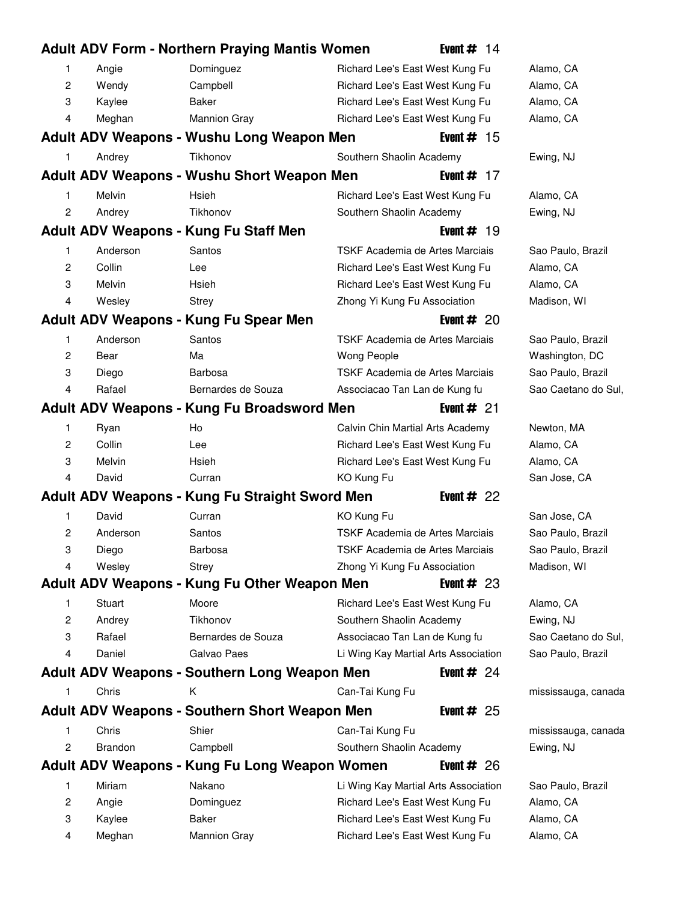|                |                | <b>Adult ADV Form - Northern Praying Mantis Women</b> | Event $# 14$                           |                     |
|----------------|----------------|-------------------------------------------------------|----------------------------------------|---------------------|
| 1              | Angie          | Dominguez                                             | Richard Lee's East West Kung Fu        | Alamo, CA           |
| 2              | Wendy          | Campbell                                              | Richard Lee's East West Kung Fu        | Alamo, CA           |
| 3              | Kaylee         | Baker                                                 | Richard Lee's East West Kung Fu        | Alamo, CA           |
| 4              | Meghan         | <b>Mannion Gray</b>                                   | Richard Lee's East West Kung Fu        | Alamo, CA           |
|                |                | Adult ADV Weapons - Wushu Long Weapon Men             | Event $#$ 15                           |                     |
| 1              | Andrey         | Tikhonov                                              | Southern Shaolin Academy               | Ewing, NJ           |
|                |                | <b>Adult ADV Weapons - Wushu Short Weapon Men</b>     | Event $# 17$                           |                     |
| 1              | Melvin         | Hsieh                                                 | Richard Lee's East West Kung Fu        | Alamo, CA           |
| $\overline{c}$ | Andrey         | Tikhonov                                              | Southern Shaolin Academy               | Ewing, NJ           |
|                |                | Adult ADV Weapons - Kung Fu Staff Men                 | Event $# 19$                           |                     |
| 1              | Anderson       | Santos                                                | TSKF Academia de Artes Marciais        | Sao Paulo, Brazil   |
| 2              | Collin         | Lee                                                   | Richard Lee's East West Kung Fu        | Alamo, CA           |
| 3              | Melvin         | Hsieh                                                 | Richard Lee's East West Kung Fu        | Alamo, CA           |
| 4              | Wesley         | <b>Strey</b>                                          | Zhong Yi Kung Fu Association           | Madison, WI         |
|                |                | Adult ADV Weapons - Kung Fu Spear Men                 | Event $#20$                            |                     |
| 1              | Anderson       | Santos                                                | TSKF Academia de Artes Marciais        | Sao Paulo, Brazil   |
| 2              | Bear           | Ma                                                    | <b>Wong People</b>                     | Washington, DC      |
| 3              | Diego          | Barbosa                                               | TSKF Academia de Artes Marciais        | Sao Paulo, Brazil   |
| 4              | Rafael         | Bernardes de Souza                                    | Associacao Tan Lan de Kung fu          | Sao Caetano do Sul, |
|                |                | Adult ADV Weapons - Kung Fu Broadsword Men            | Event $#21$                            |                     |
| 1              | Ryan           | Ho                                                    | Calvin Chin Martial Arts Academy       | Newton, MA          |
| $\overline{c}$ | Collin         | Lee                                                   | Richard Lee's East West Kung Fu        | Alamo, CA           |
| 3              | Melvin         | Hsieh                                                 | Richard Lee's East West Kung Fu        | Alamo, CA           |
| 4              | David          | Curran                                                | KO Kung Fu                             | San Jose, CA        |
|                |                | Adult ADV Weapons - Kung Fu Straight Sword Men        | Event $#22$                            |                     |
| 1              | David          | Curran                                                | KO Kung Fu                             | San Jose, CA        |
| 2              | Anderson       | Santos                                                | <b>TSKF Academia de Artes Marciais</b> | Sao Paulo, Brazil   |
| 3              | Diego          | <b>Barbosa</b>                                        | TSKF Academia de Artes Marciais        | Sao Paulo, Brazil   |
| 4              | Wesley         | Strey                                                 | Zhong Yi Kung Fu Association           | Madison, WI         |
|                |                | Adult ADV Weapons - Kung Fu Other Weapon Men          | Event $#23$                            |                     |
| 1              | Stuart         | Moore                                                 | Richard Lee's East West Kung Fu        | Alamo, CA           |
| 2              | Andrey         | Tikhonov                                              | Southern Shaolin Academy               | Ewing, NJ           |
| 3              | Rafael         | Bernardes de Souza                                    | Associacao Tan Lan de Kung fu          | Sao Caetano do Sul, |
| 4              | Daniel         | Galvao Paes                                           | Li Wing Kay Martial Arts Association   | Sao Paulo, Brazil   |
|                |                | <b>Adult ADV Weapons - Southern Long Weapon Men</b>   | Event $#24$                            |                     |
| 1              | Chris          | K                                                     | Can-Tai Kung Fu                        | mississauga, canada |
|                |                | <b>Adult ADV Weapons - Southern Short Weapon Men</b>  | Event $#25$                            |                     |
| 1              | Chris          | Shier                                                 | Can-Tai Kung Fu                        | mississauga, canada |
| 2              | <b>Brandon</b> | Campbell                                              | Southern Shaolin Academy               | Ewing, NJ           |
|                |                | Adult ADV Weapons - Kung Fu Long Weapon Women         | Event $#26$                            |                     |
| 1              | Miriam         | Nakano                                                | Li Wing Kay Martial Arts Association   | Sao Paulo, Brazil   |
| 2              | Angie          | Dominguez                                             | Richard Lee's East West Kung Fu        | Alamo, CA           |
| 3              | Kaylee         | Baker                                                 | Richard Lee's East West Kung Fu        | Alamo, CA           |
| 4              | Meghan         | <b>Mannion Gray</b>                                   | Richard Lee's East West Kung Fu        | Alamo, CA           |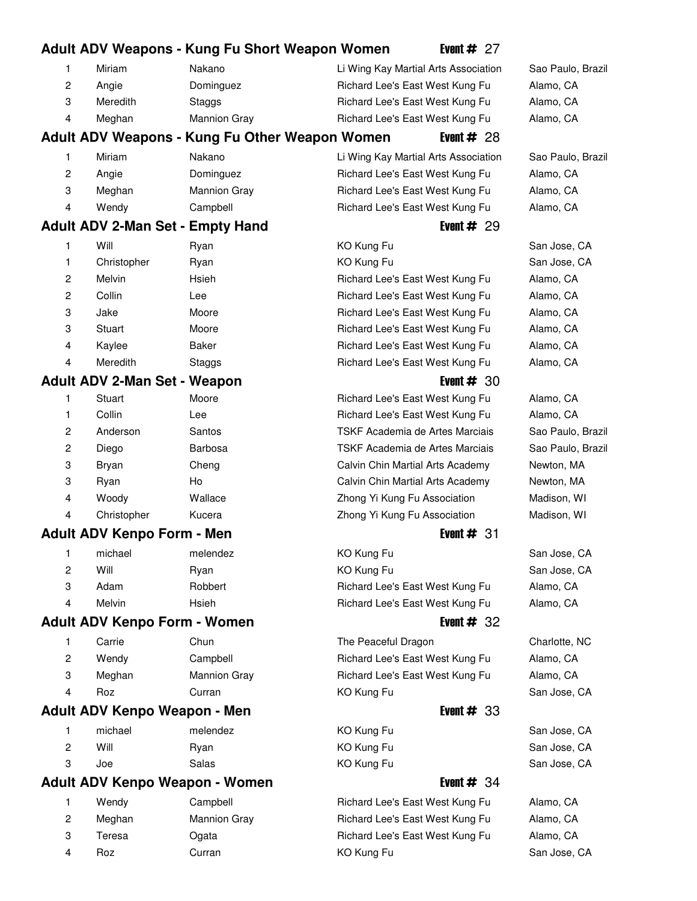# **Adult ADV Weapons - Kung Fu Short Weapon Women** Event # 27 1 Miriam Nakano 30 Li Wing Kay Martial Arts Association Sao Paulo, Brazil 2 Angie **20 Dominguez** 80 **Richard Lee's East West Kung Fu** Alamo, CA 3 Meredith Staggs 11 Richard Lee's East West Kung Fu Alamo, CA 4 Meghan Mannion Gray 11 Richard Lee's East West Kung Fu Alamo, CA **Adult ADV Weapons - Kung Fu Other Weapon Women** Event # 28 1 Miriam Nakano 30 Li Wing Kay Martial Arts Association Sao Paulo, Brazil 2 Angie **20 Dominguez** 80 **Richard Lee's East West Kung Fu** Alamo, CA 3 Meghan Mannion Gray 11 Richard Lee's East West Kung Fu Alamo, CA 4 Wendy Campbell 67 Richard Lee's East West Kung Fu Alamo, CA **Adult ADV 2-Man Set - Empty Hand** Event # 29 1 Will Ryan Ryan KO Kung Fu San Jose, CA 1 Christopher Ryan 1 KO Kung Fu San Jose, CA 2 Melvin 19 Hsieh 19 Richard Lee's East West Kung Fu Alamo, CA 2 Collin Lee **195 Lee 196 Richard Lee's East West Kung Fu** Alamo, CA 3 Jake 51 Moore 51 Moore 51 Moore 51 Richard Lee's East West Kung Fu Alamo, CA 3 Stuart Moore 61 Moore 51 Richard Lee's East West Kung Fu Alamo, CA 4 Kaylee **11 Baker 11 Baker** 11 Baker 11 Richard Lee's East West Kung Fu Alamo, CA 4 Meredith Staggs 11 Richard Lee's East West Kung Fu Alamo, CA **Adult ADV 2-Man Set - Weapon** Event # 30 1 Stuart Moore 51 Richard Lee's East West Kung Fu Alamo, CA 1 Collin Lee **1. East Colling Lee 1. East West Kung Fu** Alamo, CA 2 Anderson Santos 10 TSKF Academia de Artes Marciais Sao Paulo, Brazil 2 Diego Barbosa 17 Barbosa 17 TSKF Academia de Artes Marciais 17 Sao Paulo, Brazil 3 Bryan Cheng 13 Calvin Chin Martial Arts Academy Newton, MA 3 Ryan Ho 17 Calvin Chin Martial Arts Academy Newton, MA 4 Woody Wallace 21 Zhong Yi Kung Fu Association Madison, WI 4 Christopher Kucera 18 Zhong Yi Kung Fu Association Madison, WI **Adult ADV Kenpo Form - Men** Event # 31 1 michael melendez 17 KO Kung Fu San Jose, CA 2 Will Ryan Ryan KO Kung Fu San Jose, CA 3 Adam **Robbert** 22 Richard Lee's East West Kung Fu Alamo, CA 4 Melvin 19 Hsieh 19 Richard Lee's East West Kung Fu Alamo, CA **Adult ADV Kenpo Form - Women** Event # 32 1 Carrie Chun 35 Chun 35 The Peaceful Dragon Charlotte, NC 2 Wendy Campbell 67 Richard Lee's East West Kung Fu Alamo, CA 3 Meghan Mannion Gray 11 Richard Lee's East West Kung Fu Alamo, CA 4 Roz Curran 28 KO Kung Fu San Jose, CA **Adult ADV Kenpo Weapon - Men** Event # 23 1 michael melendez 17 KO Kung Fu San Jose, CA 2 Will Ryan KO Kung Fu San Jose, CA 3 Joe Salas 16 Salas 16 KO Kung Fu San Jose, CA **Adult ADV Kenpo Weapon - Women** Event # 34 1 Wendy Campbell 67 Richard Lee's East West Kung Fu Alamo, CA 2 Meghan Mannion Gray 11 Richard Lee's East West Kung Fu Alamo, CA 3 Teresa 20 Ogata 13 Richard Lee's East West Kung Fu Alamo, CA 4 Roz Curran 28 Curran 28 KO Kung Fu San Jose, CA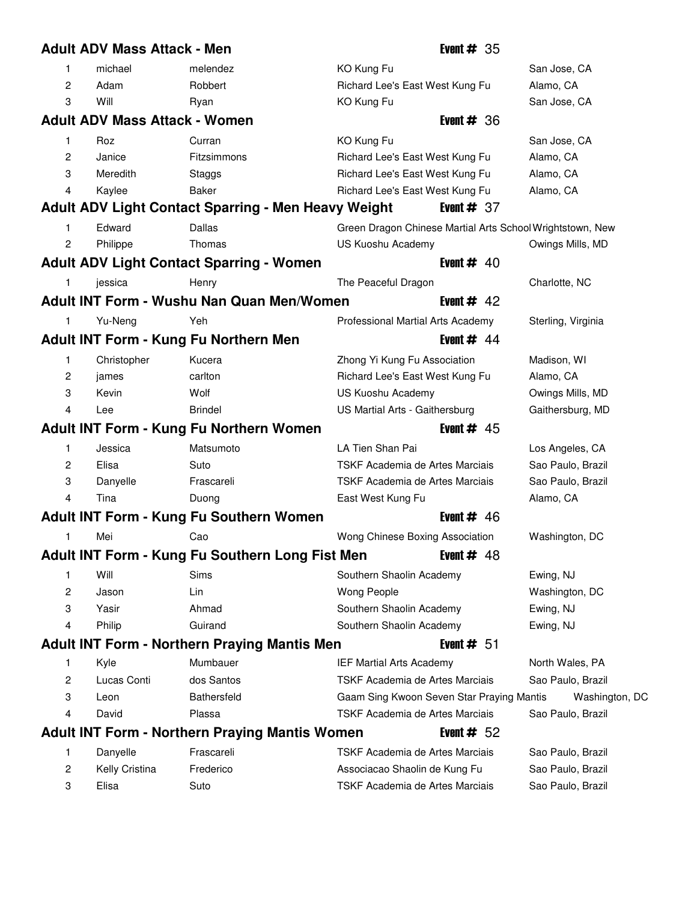|                | <b>Adult ADV Mass Attack - Men</b>   |                                                       | Event $#35$                                               |                    |
|----------------|--------------------------------------|-------------------------------------------------------|-----------------------------------------------------------|--------------------|
| 1              | michael                              | melendez                                              | KO Kung Fu                                                | San Jose, CA       |
| $\overline{c}$ | Adam                                 | Robbert                                               | Richard Lee's East West Kung Fu                           | Alamo, CA          |
| 3              | Will                                 | Ryan                                                  | KO Kung Fu                                                | San Jose, CA       |
|                | <b>Adult ADV Mass Attack - Women</b> |                                                       | Event $#36$                                               |                    |
| 1              | Roz                                  | Curran                                                | KO Kung Fu                                                | San Jose, CA       |
| 2              | Janice                               | Fitzsimmons                                           | Richard Lee's East West Kung Fu                           | Alamo, CA          |
| 3              | Meredith                             | Staggs                                                | Richard Lee's East West Kung Fu                           | Alamo, CA          |
| 4              | Kaylee                               | Baker                                                 | Richard Lee's East West Kung Fu                           | Alamo, CA          |
|                |                                      | Adult ADV Light Contact Sparring - Men Heavy Weight   | Event $# 37$                                              |                    |
| 1              | Edward                               | <b>Dallas</b>                                         | Green Dragon Chinese Martial Arts School Wrightstown, New |                    |
| 2              | Philippe                             | Thomas                                                | US Kuoshu Academy                                         | Owings Mills, MD   |
|                |                                      | <b>Adult ADV Light Contact Sparring - Women</b>       | Event $#$ 40                                              |                    |
| 1              | jessica                              | Henry                                                 | The Peaceful Dragon                                       | Charlotte, NC      |
|                |                                      | <b>Adult INT Form - Wushu Nan Quan Men/Women</b>      | Event # $42$                                              |                    |
| 1              | Yu-Neng                              | Yeh                                                   | Professional Martial Arts Academy                         | Sterling, Virginia |
|                |                                      | Adult INT Form - Kung Fu Northern Men                 | Event $#$ 44                                              |                    |
| 1              | Christopher                          | Kucera                                                | Zhong Yi Kung Fu Association                              | Madison, WI        |
| 2              | james                                | carlton                                               | Richard Lee's East West Kung Fu                           | Alamo, CA          |
| 3              | Kevin                                | Wolf                                                  | US Kuoshu Academy                                         | Owings Mills, MD   |
| 4              | Lee                                  | <b>Brindel</b>                                        | US Martial Arts - Gaithersburg                            | Gaithersburg, MD   |
|                |                                      |                                                       |                                                           |                    |
|                |                                      | <b>Adult INT Form - Kung Fu Northern Women</b>        | Event $#$ 45                                              |                    |
| 1              | Jessica                              | Matsumoto                                             | LA Tien Shan Pai                                          | Los Angeles, CA    |
| 2              | Elisa                                | Suto                                                  | TSKF Academia de Artes Marciais                           | Sao Paulo, Brazil  |
| 3              | Danyelle                             | Frascareli                                            | TSKF Academia de Artes Marciais                           | Sao Paulo, Brazil  |
| 4              | Tina                                 | Duong                                                 | East West Kung Fu                                         | Alamo, CA          |
|                |                                      | Adult INT Form - Kung Fu Southern Women               | Event $#$ 46                                              |                    |
| 1              | Mei                                  | Cao                                                   | Wong Chinese Boxing Association                           | Washington, DC     |
|                |                                      | Adult INT Form - Kung Fu Southern Long Fist Men       | Event # $48$                                              |                    |
| 1              | Will                                 | Sims                                                  | Southern Shaolin Academy                                  | Ewing, NJ          |
| 2              | Jason                                | Lin                                                   | Wong People                                               | Washington, DC     |
| 3              | Yasir                                | Ahmad                                                 | Southern Shaolin Academy                                  | Ewing, NJ          |
| 4              | Philip                               | Guirand                                               | Southern Shaolin Academy                                  | Ewing, NJ          |
|                |                                      | <b>Adult INT Form - Northern Praying Mantis Men</b>   | Event $# 51$                                              |                    |
| 1              | Kyle                                 | Mumbauer                                              | IEF Martial Arts Academy                                  | North Wales, PA    |
| 2              | Lucas Conti                          | dos Santos                                            | TSKF Academia de Artes Marciais                           | Sao Paulo, Brazil  |
| 3              | Leon                                 | <b>Bathersfeld</b>                                    | Gaam Sing Kwoon Seven Star Praying Mantis                 | Washington, DC     |
| 4              | David                                | Plassa                                                | TSKF Academia de Artes Marciais                           | Sao Paulo, Brazil  |
|                |                                      | <b>Adult INT Form - Northern Praying Mantis Women</b> | Event $# 52$                                              |                    |
| 1              | Danyelle                             | Frascareli                                            | TSKF Academia de Artes Marciais                           | Sao Paulo, Brazil  |
| 2              | Kelly Cristina                       | Frederico                                             | Associacao Shaolin de Kung Fu                             | Sao Paulo, Brazil  |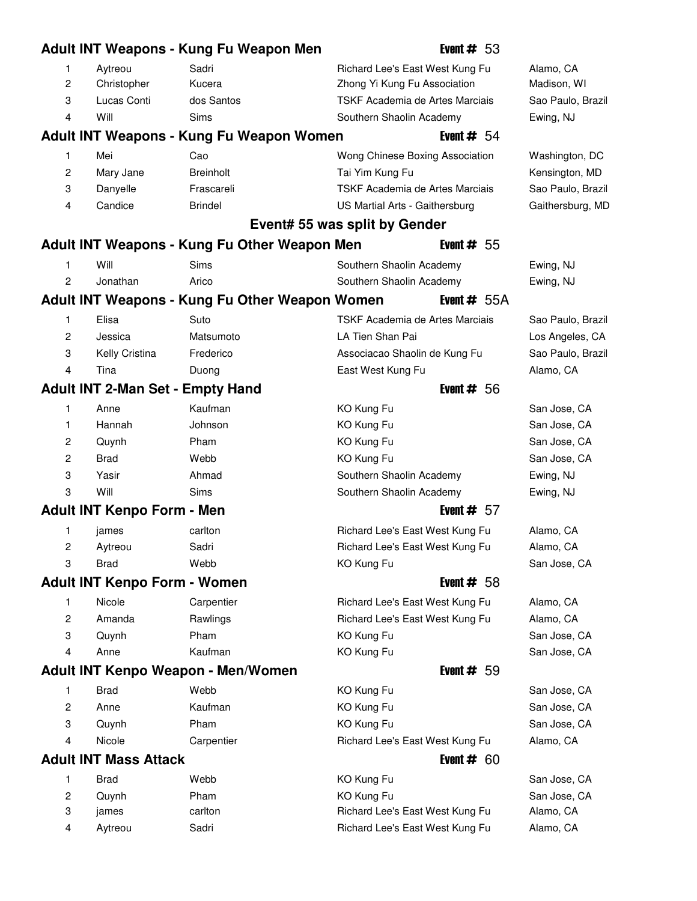|                |                                     | Adult INT Weapons - Kung Fu Weapon Men         | Event $# 53$                    |                   |
|----------------|-------------------------------------|------------------------------------------------|---------------------------------|-------------------|
| 1              | Aytreou                             | Sadri                                          | Richard Lee's East West Kung Fu | Alamo, CA         |
| 2              | Christopher                         | Kucera                                         | Zhong Yi Kung Fu Association    | Madison, WI       |
| 3              | Lucas Conti                         | dos Santos                                     | TSKF Academia de Artes Marciais | Sao Paulo, Brazil |
| 4              | Will                                | <b>Sims</b>                                    | Southern Shaolin Academy        | Ewing, NJ         |
|                |                                     | Adult INT Weapons - Kung Fu Weapon Women       | Event $# 54$                    |                   |
| 1              | Mei                                 | Cao                                            | Wong Chinese Boxing Association | Washington, DC    |
| 2              | Mary Jane                           | <b>Breinholt</b>                               | Tai Yim Kung Fu                 | Kensington, MD    |
| 3              | Danyelle                            | Frascareli                                     | TSKF Academia de Artes Marciais | Sao Paulo, Brazil |
| 4              | Candice                             | <b>Brindel</b>                                 | US Martial Arts - Gaithersburg  | Gaithersburg, MD  |
|                |                                     |                                                | Event# 55 was split by Gender   |                   |
|                |                                     | Adult INT Weapons - Kung Fu Other Weapon Men   | Event $# 55$                    |                   |
| 1              | Will                                | Sims                                           | Southern Shaolin Academy        | Ewing, NJ         |
| 2              | Jonathan                            | Arico                                          | Southern Shaolin Academy        | Ewing, NJ         |
|                |                                     | Adult INT Weapons - Kung Fu Other Weapon Women | Event $# 55A$                   |                   |
| 1              | Elisa                               | Suto                                           | TSKF Academia de Artes Marciais | Sao Paulo, Brazil |
| 2              | Jessica                             | Matsumoto                                      | LA Tien Shan Pai                | Los Angeles, CA   |
| 3              | Kelly Cristina                      | Frederico                                      | Associacao Shaolin de Kung Fu   | Sao Paulo, Brazil |
| 4              | Tina                                | Duong                                          | East West Kung Fu               | Alamo, CA         |
|                |                                     | <b>Adult INT 2-Man Set - Empty Hand</b>        | Event $# 56$                    |                   |
| 1              | Anne                                | Kaufman                                        | KO Kung Fu                      | San Jose, CA      |
| 1              | Hannah                              | Johnson                                        | KO Kung Fu                      | San Jose, CA      |
| 2              | Quynh                               | Pham                                           | KO Kung Fu                      | San Jose, CA      |
| $\overline{c}$ | <b>Brad</b>                         | Webb                                           | KO Kung Fu                      | San Jose, CA      |
| 3              | Yasir                               | Ahmad                                          | Southern Shaolin Academy        | Ewing, NJ         |
| 3              | Will                                | Sims                                           | Southern Shaolin Academy        | Ewing, NJ         |
|                | <b>Adult INT Kenpo Form - Men</b>   |                                                | Event $# 57$                    |                   |
| 1              | james                               | carlton                                        | Richard Lee's East West Kung Fu | Alamo, CA         |
| 2              | Aytreou                             | Sadri                                          | Richard Lee's East West Kung Fu | Alamo, CA         |
| 3              | <b>Brad</b>                         | Webb                                           | KO Kung Fu                      | San Jose, CA      |
|                | <b>Adult INT Kenpo Form - Women</b> |                                                | Event $# 58$                    |                   |
| 1              | Nicole                              | Carpentier                                     | Richard Lee's East West Kung Fu | Alamo, CA         |
| 2              | Amanda                              | Rawlings                                       | Richard Lee's East West Kung Fu | Alamo, CA         |
| 3              | Quynh                               | Pham                                           | KO Kung Fu                      | San Jose, CA      |
| 4              | Anne                                | Kaufman                                        | KO Kung Fu                      | San Jose, CA      |
|                |                                     | Adult INT Kenpo Weapon - Men/Women             | Event $# 59$                    |                   |
| 1              | <b>Brad</b>                         | Webb                                           | KO Kung Fu                      | San Jose, CA      |
| $\overline{c}$ | Anne                                | Kaufman                                        | KO Kung Fu                      | San Jose, CA      |
| 3              | Quynh                               | Pham                                           | KO Kung Fu                      | San Jose, CA      |
| 4              | Nicole                              | Carpentier                                     | Richard Lee's East West Kung Fu | Alamo, CA         |
|                | <b>Adult INT Mass Attack</b>        |                                                | Event $# 60$                    |                   |
| 1              | <b>Brad</b>                         | Webb                                           | KO Kung Fu                      | San Jose, CA      |
| 2              | Quynh                               | Pham                                           | KO Kung Fu                      | San Jose, CA      |
| 3              | james                               | carlton                                        | Richard Lee's East West Kung Fu | Alamo, CA         |
| 4              | Aytreou                             | Sadri                                          | Richard Lee's East West Kung Fu | Alamo, CA         |
|                |                                     |                                                |                                 |                   |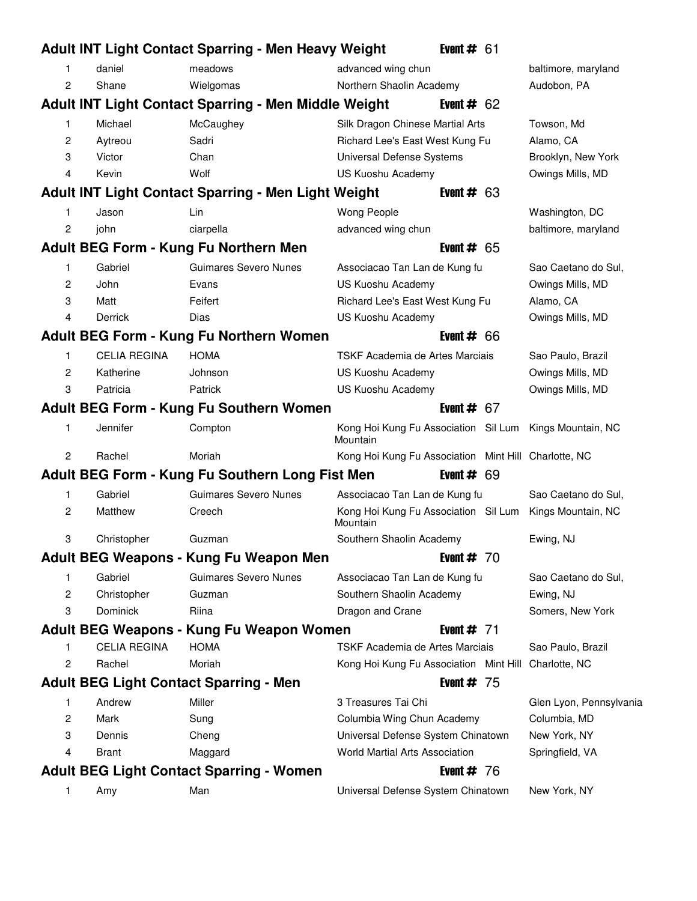|                |                     | <b>Adult INT Light Contact Sparring - Men Heavy Weight</b>  |                                                      | Event $# 61$ |                         |
|----------------|---------------------|-------------------------------------------------------------|------------------------------------------------------|--------------|-------------------------|
| 1              | daniel              | meadows                                                     | advanced wing chun                                   |              | baltimore, maryland     |
| 2              | Shane               | Wielgomas                                                   | Northern Shaolin Academy                             |              | Audobon, PA             |
|                |                     | <b>Adult INT Light Contact Sparring - Men Middle Weight</b> |                                                      | Event $# 62$ |                         |
| 1              | Michael             | McCaughey                                                   | Silk Dragon Chinese Martial Arts                     |              | Towson, Md              |
| 2              | Aytreou             | Sadri                                                       | Richard Lee's East West Kung Fu                      |              | Alamo, CA               |
| 3              | Victor              | Chan                                                        | Universal Defense Systems                            |              | Brooklyn, New York      |
| 4              | Kevin               | Wolf                                                        | <b>US Kuoshu Academy</b>                             |              | Owings Mills, MD        |
|                |                     | <b>Adult INT Light Contact Sparring - Men Light Weight</b>  |                                                      | Event $# 63$ |                         |
| 1              | Jason               | Lin                                                         | Wong People                                          |              | Washington, DC          |
| 2              | john                | ciarpella                                                   | advanced wing chun                                   |              | baltimore, maryland     |
|                |                     | Adult BEG Form - Kung Fu Northern Men                       |                                                      | Event $# 65$ |                         |
| 1              | Gabriel             | <b>Guimares Severo Nunes</b>                                | Associacao Tan Lan de Kung fu                        |              | Sao Caetano do Sul,     |
| 2              | John                | Evans                                                       | US Kuoshu Academy                                    |              | Owings Mills, MD        |
| 3              | Matt                | Feifert                                                     | Richard Lee's East West Kung Fu                      |              | Alamo, CA               |
| 4              | <b>Derrick</b>      | Dias                                                        | US Kuoshu Academy                                    |              | Owings Mills, MD        |
|                |                     | Adult BEG Form - Kung Fu Northern Women                     |                                                      | Event $# 66$ |                         |
| 1              | <b>CELIA REGINA</b> | <b>HOMA</b>                                                 | TSKF Academia de Artes Marciais                      |              | Sao Paulo, Brazil       |
| 2              | Katherine           | Johnson                                                     | US Kuoshu Academy                                    |              | Owings Mills, MD        |
| 3              | Patricia            | Patrick                                                     | US Kuoshu Academy                                    |              | Owings Mills, MD        |
|                |                     | Adult BEG Form - Kung Fu Southern Women                     |                                                      | Event $# 67$ |                         |
| 1              | Jennifer            | Compton                                                     | Kong Hoi Kung Fu Association Sil Lum<br>Mountain     |              | Kings Mountain, NC      |
| 2              | Rachel              | Moriah                                                      | Kong Hoi Kung Fu Association Mint Hill Charlotte, NC |              |                         |
|                |                     | Adult BEG Form - Kung Fu Southern Long Fist Men             |                                                      | Event $# 69$ |                         |
| 1              | Gabriel             | Guimares Severo Nunes                                       | Associacao Tan Lan de Kung fu                        |              | Sao Caetano do Sul,     |
| $\overline{2}$ | Matthew             | Creech                                                      | Kong Hoi Kung Fu Association Sil Lum<br>Mountain     |              | Kings Mountain, NC      |
| 3              | Christopher         | Guzman                                                      | Southern Shaolin Academy                             |              | Ewing, NJ               |
|                |                     | Adult BEG Weapons - Kung Fu Weapon Men                      |                                                      | Event $# 70$ |                         |
| 1              | Gabriel             | Guimares Severo Nunes                                       | Associacao Tan Lan de Kung fu                        |              | Sao Caetano do Sul,     |
| 2              | Christopher         | Guzman                                                      | Southern Shaolin Academy                             |              | Ewing, NJ               |
| 3              | Dominick            | Riina                                                       | Dragon and Crane                                     |              | Somers, New York        |
|                |                     | Adult BEG Weapons - Kung Fu Weapon Women                    |                                                      | Event $# 71$ |                         |
| 1              | <b>CELIA REGINA</b> | <b>HOMA</b>                                                 | TSKF Academia de Artes Marciais                      |              | Sao Paulo, Brazil       |
| 2              | Rachel              | Moriah                                                      | Kong Hoi Kung Fu Association Mint Hill               |              | Charlotte, NC           |
|                |                     | <b>Adult BEG Light Contact Sparring - Men</b>               |                                                      | Event $# 75$ |                         |
| 1              | Andrew              | Miller                                                      | 3 Treasures Tai Chi                                  |              | Glen Lyon, Pennsylvania |
| 2              | Mark                | Sung                                                        | Columbia Wing Chun Academy                           |              | Columbia, MD            |
| 3              | Dennis              | Cheng                                                       | Universal Defense System Chinatown                   |              | New York, NY            |
| 4              | <b>Brant</b>        | Maggard                                                     | <b>World Martial Arts Association</b>                |              | Springfield, VA         |
|                |                     | <b>Adult BEG Light Contact Sparring - Women</b>             |                                                      | Event $# 76$ |                         |
| 1              | Amy                 | Man                                                         | Universal Defense System Chinatown                   |              | New York, NY            |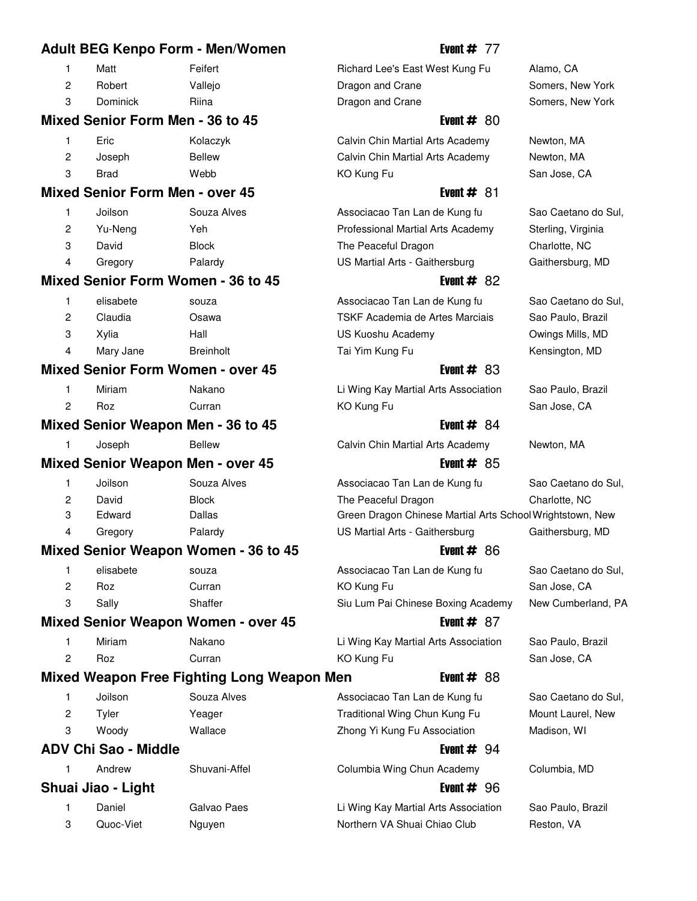|                |                                          | <b>Adult BEG Kenpo Form - Men/Women</b>     | Event $# 77$                                              |                     |
|----------------|------------------------------------------|---------------------------------------------|-----------------------------------------------------------|---------------------|
| 1              | Matt                                     | Feifert                                     | Richard Lee's East West Kung Fu                           | Alamo, CA           |
| $\overline{c}$ | Robert                                   | Vallejo                                     | Dragon and Crane                                          | Somers, New York    |
| 3              | <b>Dominick</b>                          | Riina                                       | Dragon and Crane                                          | Somers, New York    |
|                | Mixed Senior Form Men - 36 to 45         |                                             | Event $#80$                                               |                     |
| 1              | Eric                                     | Kolaczyk                                    | Calvin Chin Martial Arts Academy                          | Newton, MA          |
| $\overline{c}$ | Joseph                                   | <b>Bellew</b>                               | Calvin Chin Martial Arts Academy                          | Newton, MA          |
| 3              | <b>Brad</b>                              | Webb                                        | KO Kung Fu                                                | San Jose, CA        |
|                | <b>Mixed Senior Form Men - over 45</b>   |                                             | Event $#81$                                               |                     |
| 1              | Joilson                                  | Souza Alves                                 | Associacao Tan Lan de Kung fu                             | Sao Caetano do Sul, |
| $\overline{c}$ | Yu-Neng                                  | Yeh                                         | Professional Martial Arts Academy                         | Sterling, Virginia  |
| 3              | David                                    | <b>Block</b>                                | The Peaceful Dragon                                       | Charlotte, NC       |
| 4              | Gregory                                  | Palardy                                     | US Martial Arts - Gaithersburg                            | Gaithersburg, MD    |
|                |                                          | <b>Mixed Senior Form Women - 36 to 45</b>   | Event $#82$                                               |                     |
| 1              | elisabete                                | souza                                       | Associacao Tan Lan de Kung fu                             | Sao Caetano do Sul, |
| $\overline{2}$ | Claudia                                  | Osawa                                       | TSKF Academia de Artes Marciais                           | Sao Paulo, Brazil   |
| 3              | Xylia                                    | Hall                                        | US Kuoshu Academy                                         | Owings Mills, MD    |
| 4              | Mary Jane                                | <b>Breinholt</b>                            | Tai Yim Kung Fu                                           | Kensington, MD      |
|                |                                          | <b>Mixed Senior Form Women - over 45</b>    | Event $#83$                                               |                     |
| 1              | Miriam                                   | Nakano                                      | Li Wing Kay Martial Arts Association                      | Sao Paulo, Brazil   |
| 2              | Roz                                      | Curran                                      | KO Kung Fu                                                | San Jose, CA        |
|                |                                          | Mixed Senior Weapon Men - 36 to 45          | Event $#84$                                               |                     |
| 1              | Joseph                                   | <b>Bellew</b>                               | Calvin Chin Martial Arts Academy                          | Newton, MA          |
|                | <b>Mixed Senior Weapon Men - over 45</b> |                                             | Event $#85$                                               |                     |
| 1              | Joilson                                  | Souza Alves                                 | Associacao Tan Lan de Kung fu                             | Sao Caetano do Sul, |
| 2              | David                                    | <b>Block</b>                                | The Peaceful Dragon                                       | Charlotte, NC       |
| 3              | Edward                                   | Dallas                                      | Green Dragon Chinese Martial Arts School Wrightstown, New |                     |
| 4              | Gregory                                  | Palardy                                     | US Martial Arts - Gaithersburg                            | Gaithersburg, MD    |
|                |                                          | <b>Mixed Senior Weapon Women - 36 to 45</b> | Event $#86$                                               |                     |
| 1              | elisabete                                | souza                                       | Associacao Tan Lan de Kung fu                             | Sao Caetano do Sul, |
| 2              | Roz                                      | Curran                                      | KO Kung Fu                                                | San Jose, CA        |
| 3              | Sally                                    | Shaffer                                     | Siu Lum Pai Chinese Boxing Academy                        | New Cumberland, PA  |
|                |                                          | <b>Mixed Senior Weapon Women - over 45</b>  | Event $#87$                                               |                     |
| 1              | Miriam                                   | Nakano                                      | Li Wing Kay Martial Arts Association                      | Sao Paulo, Brazil   |
| 2              | Roz                                      | Curran                                      | KO Kung Fu                                                | San Jose, CA        |
|                |                                          | Mixed Weapon Free Fighting Long Weapon Men  | Event $#88$                                               |                     |
| 1              | Joilson                                  | Souza Alves                                 | Associacao Tan Lan de Kung fu                             | Sao Caetano do Sul, |
| 2              | Tyler                                    | Yeager                                      | Traditional Wing Chun Kung Fu                             | Mount Laurel, New   |
| 3              | Woody                                    | Wallace                                     | Zhong Yi Kung Fu Association                              | Madison, WI         |
|                | <b>ADV Chi Sao - Middle</b>              |                                             | Event $# 94$                                              |                     |
| 1              | Andrew                                   | Shuvani-Affel                               | Columbia Wing Chun Academy                                | Columbia, MD        |
|                | Shuai Jiao - Light                       |                                             | Event $# 96$                                              |                     |
| 1              | Daniel                                   | Galvao Paes                                 | Li Wing Kay Martial Arts Association                      | Sao Paulo, Brazil   |
| 3              | Quoc-Viet                                | Nguyen                                      | Northern VA Shuai Chiao Club                              | Reston, VA          |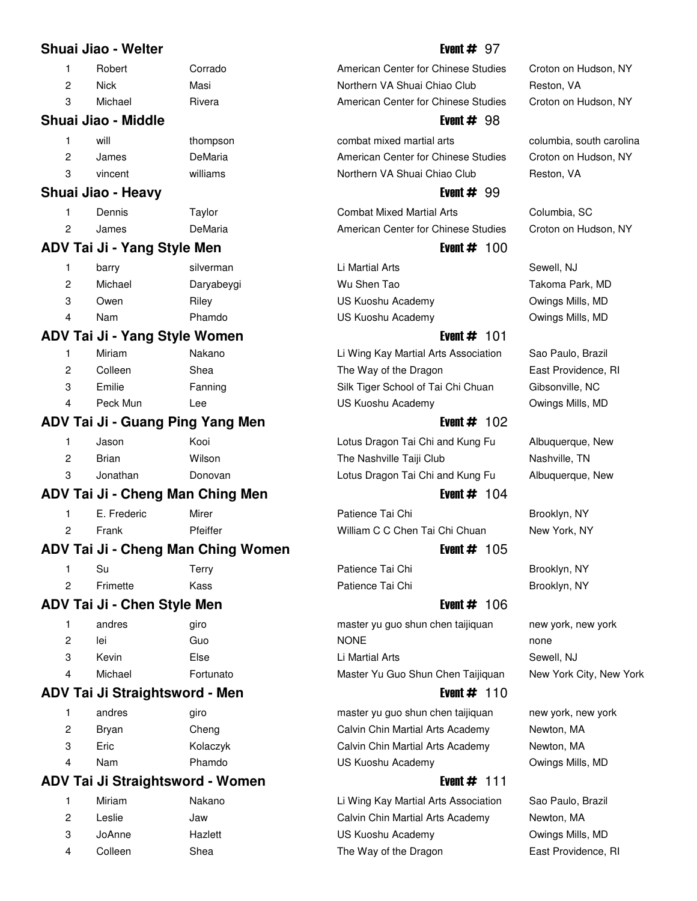## **Shuai Jiao - Welter Event American American Event # 97**

- 
- 
- 

# **Shuai Jiao - Middle Event # 98**

|   | will          | thompson |
|---|---------------|----------|
| 2 | James         | DeMaria  |
| ≏ | line constant | $will=$  |

## **Shuai Jiao - Heavy Event # 99**

|    | Dennis | Taylor  |
|----|--------|---------|
| -2 | James  | DeMaria |

## **ADV Tai Ji - Yang Style Men Event # 100**

|   | barry   | silverman  | Li Martial Arts   | Sewell, NJ |
|---|---------|------------|-------------------|------------|
|   | Michael | Daryabeygi | Wu Shen Tao       | Takoma P   |
|   | Owen    | Rilev      | US Kuoshu Academy | Owings Mi  |
| 4 | Nam     | Phamdo     | US Kuoshu Academy | Owinas Mi  |

## **ADV Tai Ji - Yang Style Women** Event # 101

| 1 | Miriam   | Nakano  |
|---|----------|---------|
| 2 | Colleen  | Shea    |
| 3 | Emilie   | Fanning |
| 4 | Peck Mun | Lee     |

## **ADV Tai Ji - Guang Ping Yang Men All All Accord # 102 Lives Figure 4 Lives Apple 2014**

| 1 | Jason    | Kooi    |
|---|----------|---------|
| 2 | Brian    | Wilson  |
| 3 | Jonathan | Donovan |

# **ADV Tai Ji - Cheng Man Ching Men Event # 104**

|   | E. Frederic | Mirer    |
|---|-------------|----------|
| 2 | Frank       | Pfeiffer |

# **ADV Tai Ji - Cheng Man Ching Women Figure 2.1 Linux Event # 105**

| Su       | Terry | Patience Tai Chi | Brooklyn, NY |
|----------|-------|------------------|--------------|
| Frimette | Kass  | Patience Tai Chi | Brooklyn, NY |

# **ADV Tai Ji - Chen Style Men Event # 106**

|   | andres  | giro      |
|---|---------|-----------|
| 2 | lei     | Guo       |
| З | Kevin   | Else      |
| 4 | Michael | Fortunato |
|   |         |           |

# **ADV Tai Ji Straightsword - Men** Event # 110

| 1 | andres | giro     |
|---|--------|----------|
| 2 | Bryan  | Cheng    |
| 3 | Eric   | Kolaczyk |
| 4 | Nam    | Phamdo   |

# **ADV Tai Ji Straightsword - Women** Event # 111

| 1 | Miriam  | Nakan   |
|---|---------|---------|
| 2 | Leslie  | Jaw     |
| 3 | JoAnne  | Hazlett |
| 4 | Colleen | Shea    |

1 Robert Corrado **15 American Center for Chinese Studies** Croton on Hudson, NY 2 Nick Masi 89 Northern VA Shuai Chiao Club Reston, VA 3 Michael  $\sim$  Rivera  $\sim$  American Center for Chinese Studies Croton on Hudson, NY

1 combat mixed martial arts columbia, south carolina American Center for Chinese Studies Croton on Hudson, NY 3 vincent williams 23 Northern VA Shuai Chiao Club Reston, VA

Combat Mixed Martial Arts Columbia, SC American Center for Chinese Studies Croton on Hudson, NY

2 My Shen Tao Tang Takoma Park, MD US Kuoshu Academy **Owings Mills, MD** US Kuoshu Academy **Owings Mills, MD** 

Li Wing Kay Martial Arts Association Sao Paulo, Brazil The Way of the Dragon East Providence, RI Silk Tiger School of Tai Chi Chuan Gibsonville, NC US Kuoshu Academy **Owings Mills, MD** 

Lotus Dragon Tai Chi and Kung Fu Albuquerque, New The Nashville Taiji Club Nashville, TN Lotus Dragon Tai Chi and Kung Fu Albuquerque, New

Patience Tai Chi Brooklyn, NY William C C Chen Tai Chi Chuan New York, NY

master yu guo shun chen taijiquan new york, new york 2 lei Guo 23 NONE none Li Martial Arts **10 Li Martial Arts Sewell**, NJ Master Yu Guo Shun Chen Taijiquan New York City, New York

master yu guo shun chen taijiquan new york, new york Calvin Chin Martial Arts Academy Newton, MA Calvin Chin Martial Arts Academy Newton, MA US Kuoshu Academy **Owings Mills, MD** 

1 Ming Kay Martial Arts Association Sao Paulo, Brazil Calvin Chin Martial Arts Academy Newton, MA US Kuoshu Academy **Owings Mills, MD** The Way of the Dragon East Providence, RI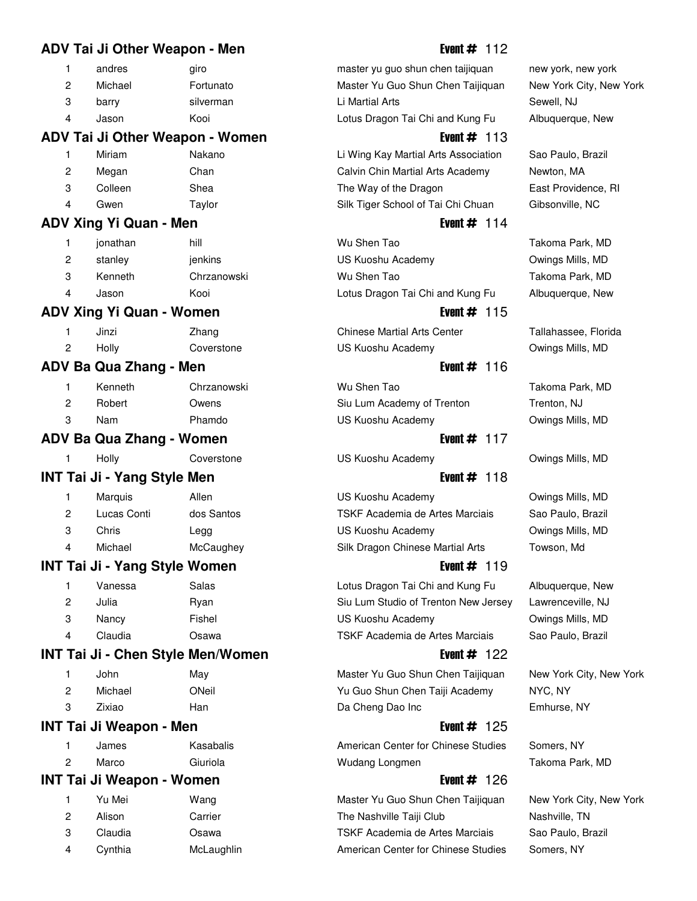# **ADV Tai Ji Other Weapon - Men** Event # 112

| andres  | airo      | master yu guo shun chen taijiquan | new york,  |
|---------|-----------|-----------------------------------|------------|
| Michael | Fortunato | Master Yu Guo Shun Chen Taijiquan | New York   |
| barry   | silverman | Li Martial Arts                   | Sewell, NJ |
| Jason   | Kooi      | Lotus Dragon Tai Chi and Kung Fu  | Albuguerg  |
|         |           |                                   |            |

## **ADV Tai Ji Other Weapon - Women** Event # 113

|   | Miriam  | Nakano |
|---|---------|--------|
| 2 | Megan   | Chan   |
| 3 | Colleen | Shea   |
| 4 | Gwen    | Taylor |

## **ADV Xing Yi Quan - Men Event # 114**

|   | jonathan | hill       |
|---|----------|------------|
| 2 | stanley  | jenkins    |
| 3 | Kenneth  | Chrzanowsk |
|   | Jason    | Kooi       |

## **ADV Xing Yi Quan - Women** Event # 115

|   | Jinzi | Zhang      |
|---|-------|------------|
| 2 | Holly | Coverstone |

## **ADV Ba Qua Zhang - Men Event # 116**

| Kenneth | Chrzanowsk |
|---------|------------|
| Robert  | Owens      |
| Nam     | Phamdo     |
|         |            |

## **ADV Ba Qua Zhang - Women Event # 117**

1 Holly Coverstone 15 US Kuoshu Academy 14 Owings Mills, MD

## **INT Tai Ji - Yang Style Men Event # 118**

|   | Marquis     | Allen      |
|---|-------------|------------|
| 2 | Lucas Conti | dos Santos |
| 3 | Chris       | Legg       |
| 4 | Michael     | McCaughey  |

## **INT Tai Ji - Yang Style Women Event # 119**

| 1 | Vanessa | Salas  |
|---|---------|--------|
| 2 | Julia   | Ryan   |
| 3 | Nancy   | Fishel |
| 4 | Claudia | Osawa  |
|   |         |        |

## **INT Tai Ji - Chen Style Men/Women Event # 122**

| 1 | John    | May   |
|---|---------|-------|
| 2 | Michael | ONeil |
| 3 | Zixiao  | Han   |

## **INT Tai Ji Weapon - Men Event # 125**

|   | James | Kasabalis |
|---|-------|-----------|
| 2 | Marco | Giuriola  |

## **INT Tai Ji Weapon - Women Event # 126**

| 1  | Yu Mei  | Wang    |
|----|---------|---------|
| 2  | Alison  | Carrier |
| -3 | Claudia | Osawa   |
| 4  | Cynthia | McLaugh |

master yu guo shun chen taijiquan new york, new york Master Yu Guo Shun Chen Taijiquan New York City, New York Lotus Dragon Tai Chi and Kung Fu Albuquerque, New

Li Wing Kay Martial Arts Association Sao Paulo, Brazil Calvin Chin Martial Arts Academy Newton, MA The Way of the Dragon East Providence, RI Silk Tiger School of Tai Chi Chuan Gibsonville, NC

1 Wu Shen Tao **Takoma Park**, MD US Kuoshu Academy **Owings Mills, MD** 3 Kenneth Chrzanowski 21 Kenneth Chrzanowski 21 Mu Shen Tao Takoma Park, MD Lotus Dragon Tai Chi and Kung Fu Albuquerque, New

1 Jinzi Zhang 13 Chinese Martial Arts Center Tallahassee, Florida US Kuoshu Academy **Owings Mills, MD** 

Siu Lum Academy of Trenton Trenton, NJ US Kuoshu Academy **Owings Mills, MD** 

US Kuoshu Academy **Owings Mills, MD** TSKF Academia de Artes Marciais Sao Paulo, Brazil US Kuoshu Academy **Owings Mills, MD** Silk Dragon Chinese Martial Arts Towson, Md

Lotus Dragon Tai Chi and Kung Fu Albuquerque, New Siu Lum Studio of Trenton New Jersey Lawrenceville, NJ US Kuoshu Academy **Cancer Communist Communist Communist Communist Communist Communist Communist Communist Communist Communist Communist Communist Communist Communist Communist Communist Communist Communist Communist Commun** TSKF Academia de Artes Marciais Sao Paulo, Brazil

Master Yu Guo Shun Chen Taijiquan New York City, New York Yu Guo Shun Chen Taiji Academy NYC, NY Da Cheng Dao Inc **Emhurse**, NY

American Center for Chinese Studies Somers, NY Wudang Longmen Takoma Park, MD

Master Yu Guo Shun Chen Taijiquan New York City, New York The Nashville Taiji Club Nashville, TN TSKF Academia de Artes Marciais Sao Paulo, Brazil 1 Iin 15 American Center for Chinese Studies Somers, NY

1 New York Christian Christian Christian Mu Shen Tao Takoma Park, MD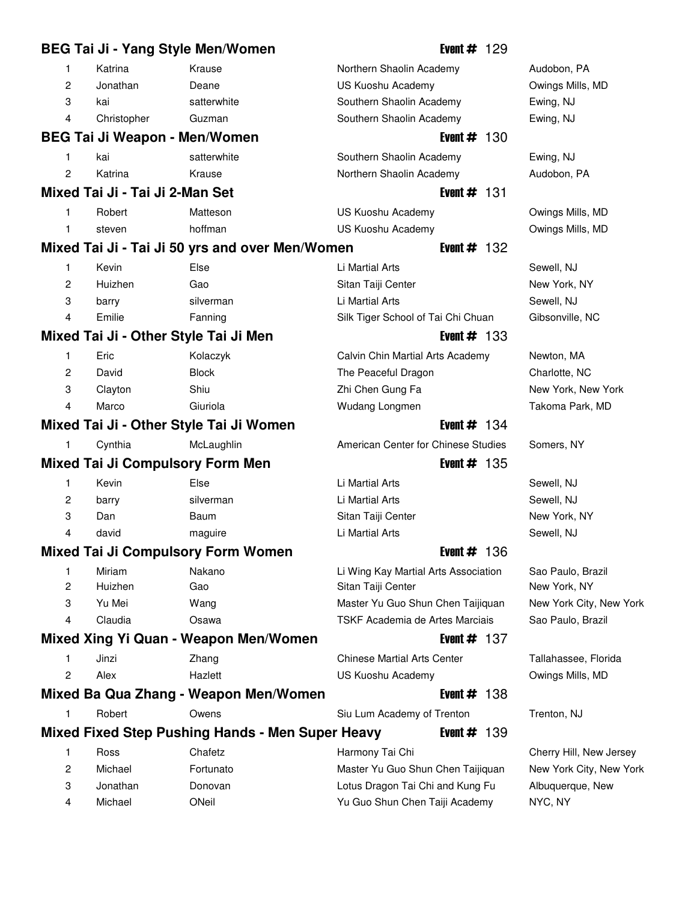|                | BEG Tai Ji - Yang Style Men/Women       |                                                  |                                      | Event $#$ 129  |                         |
|----------------|-----------------------------------------|--------------------------------------------------|--------------------------------------|----------------|-------------------------|
| 1              | Katrina                                 | Krause                                           | Northern Shaolin Academy             |                | Audobon, PA             |
| 2              | Jonathan                                | Deane                                            | US Kuoshu Academy                    |                | Owings Mills, MD        |
| 3              | kai                                     | satterwhite                                      | Southern Shaolin Academy             |                | Ewing, NJ               |
| 4              | Christopher                             | Guzman                                           | Southern Shaolin Academy             |                | Ewing, NJ               |
|                | BEG Tai Ji Weapon - Men/Women           |                                                  |                                      | Event $# 130$  |                         |
| 1              | kai                                     | satterwhite                                      | Southern Shaolin Academy             |                | Ewing, NJ               |
| 2              | Katrina                                 | Krause                                           | Northern Shaolin Academy             |                | Audobon, PA             |
|                | Mixed Tai Ji - Tai Ji 2-Man Set         |                                                  |                                      | Event $#$ 131  |                         |
| 1              | Robert                                  | Matteson                                         | US Kuoshu Academy                    |                | Owings Mills, MD        |
| 1              | steven                                  | hoffman                                          | US Kuoshu Academy                    |                | Owings Mills, MD        |
|                |                                         | Mixed Tai Ji - Tai Ji 50 yrs and over Men/Women  |                                      | Event $#$ 132  |                         |
| 1              | Kevin                                   | Else                                             | Li Martial Arts                      |                | Sewell, NJ              |
| 2              | Huizhen                                 | Gao                                              | Sitan Taiji Center                   |                | New York, NY            |
| 3              | barry                                   | silverman                                        | Li Martial Arts                      |                | Sewell, NJ              |
| 4              | Emilie                                  | Fanning                                          | Silk Tiger School of Tai Chi Chuan   |                | Gibsonville, NC         |
|                | Mixed Tai Ji - Other Style Tai Ji Men   |                                                  |                                      | Event $#$ 133  |                         |
| 1              | Eric                                    | Kolaczyk                                         | Calvin Chin Martial Arts Academy     |                | Newton, MA              |
| $\overline{2}$ | David                                   | <b>Block</b>                                     | The Peaceful Dragon                  |                | Charlotte, NC           |
| 3              | Clayton                                 | Shiu                                             | Zhi Chen Gung Fa                     |                | New York, New York      |
| 4              | Marco                                   | Giuriola                                         | Wudang Longmen                       |                | Takoma Park, MD         |
|                |                                         | Mixed Tai Ji - Other Style Tai Ji Women          |                                      | Event $# 134$  |                         |
| 1              | Cynthia                                 | McLaughlin                                       | American Center for Chinese Studies  |                | Somers, NY              |
|                | <b>Mixed Tai Ji Compulsory Form Men</b> |                                                  |                                      | Event $# 135$  |                         |
| 1              | Kevin                                   | Else                                             | Li Martial Arts                      |                | Sewell, NJ              |
| 2              | barry                                   | silverman                                        | Li Martial Arts                      |                | Sewell, NJ              |
| 3              | Dan                                     | Baum                                             | Sitan Taiji Center                   |                | New York, NY            |
| 4              | david                                   | maguire                                          | Li Martial Arts                      |                | Sewell, NJ              |
|                |                                         | <b>Mixed Tai Ji Compulsory Form Women</b>        |                                      | Event $\#$ 136 |                         |
| 1              | Miriam                                  | Nakano                                           | Li Wing Kay Martial Arts Association |                | Sao Paulo, Brazil       |
| 2              | Huizhen                                 | Gao                                              | Sitan Taiji Center                   |                | New York, NY            |
| 3              | Yu Mei                                  | Wang                                             | Master Yu Guo Shun Chen Taijiquan    |                | New York City, New York |
| 4              | Claudia                                 | Osawa                                            | TSKF Academia de Artes Marciais      |                | Sao Paulo, Brazil       |
|                |                                         | Mixed Xing Yi Quan - Weapon Men/Women            |                                      | Event $# 137$  |                         |
| 1              | Jinzi                                   | Zhang                                            | <b>Chinese Martial Arts Center</b>   |                | Tallahassee, Florida    |
| 2              | Alex                                    | Hazlett                                          | US Kuoshu Academy                    |                | Owings Mills, MD        |
|                |                                         | Mixed Ba Qua Zhang - Weapon Men/Women            |                                      | Event $#$ 138  |                         |
| 1              | Robert                                  | Owens                                            | Siu Lum Academy of Trenton           |                | Trenton, NJ             |
|                |                                         | Mixed Fixed Step Pushing Hands - Men Super Heavy |                                      | Event $#$ 139  |                         |
| 1              | Ross                                    | Chafetz                                          | Harmony Tai Chi                      |                | Cherry Hill, New Jersey |
| 2              | Michael                                 | Fortunato                                        | Master Yu Guo Shun Chen Taijiquan    |                | New York City, New York |
| 3              | Jonathan                                | Donovan                                          | Lotus Dragon Tai Chi and Kung Fu     |                | Albuquerque, New        |
| 4              | Michael                                 | ONeil                                            | Yu Guo Shun Chen Taiji Academy       |                | NYC, NY                 |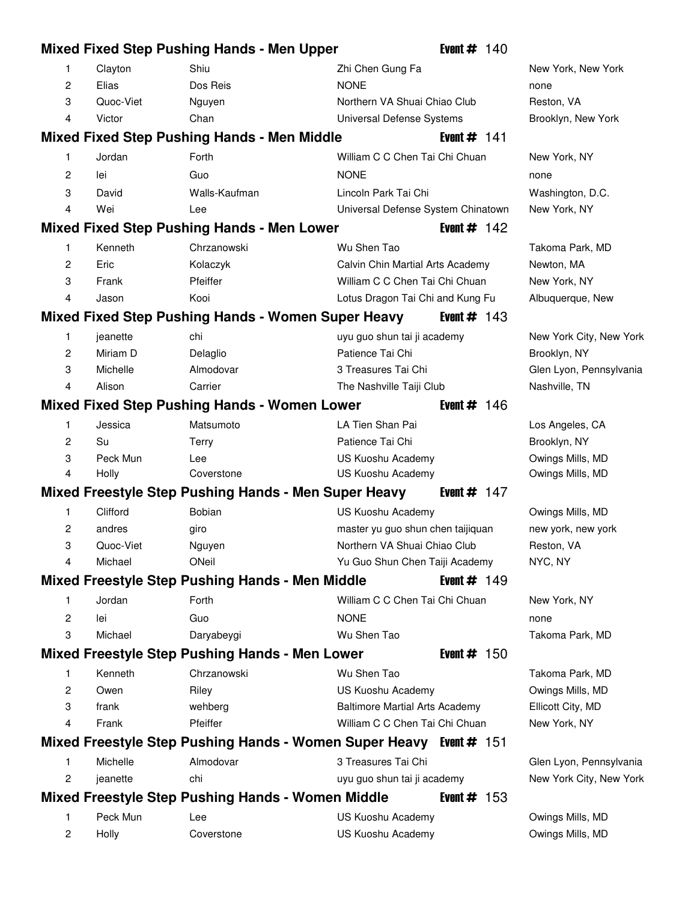|   |           | <b>Mixed Fixed Step Pushing Hands - Men Upper</b>                         |                                       | Event $# 140$  |                         |
|---|-----------|---------------------------------------------------------------------------|---------------------------------------|----------------|-------------------------|
| 1 | Clayton   | Shiu                                                                      | Zhi Chen Gung Fa                      |                | New York, New York      |
| 2 | Elias     | Dos Reis                                                                  | <b>NONE</b>                           |                | none                    |
| 3 | Quoc-Viet | Nguyen                                                                    | Northern VA Shuai Chiao Club          |                | Reston, VA              |
| 4 | Victor    | Chan                                                                      | Universal Defense Systems             |                | Brooklyn, New York      |
|   |           | <b>Mixed Fixed Step Pushing Hands - Men Middle</b>                        |                                       | Event $#$ 141  |                         |
| 1 | Jordan    | Forth                                                                     | William C C Chen Tai Chi Chuan        |                | New York, NY            |
| 2 | lei       | Guo                                                                       | <b>NONE</b>                           |                | none                    |
| 3 | David     | Walls-Kaufman                                                             | Lincoln Park Tai Chi                  |                | Washington, D.C.        |
| 4 | Wei       | Lee                                                                       | Universal Defense System Chinatown    |                | New York, NY            |
|   |           | <b>Mixed Fixed Step Pushing Hands - Men Lower</b>                         |                                       | Event $# 142$  |                         |
| 1 | Kenneth   | Chrzanowski                                                               | Wu Shen Tao                           |                | Takoma Park, MD         |
| 2 | Eric      | Kolaczyk                                                                  | Calvin Chin Martial Arts Academy      |                | Newton, MA              |
| 3 | Frank     | Pfeiffer                                                                  | William C C Chen Tai Chi Chuan        |                | New York, NY            |
| 4 | Jason     | Kooi                                                                      | Lotus Dragon Tai Chi and Kung Fu      |                | Albuquerque, New        |
|   |           | <b>Mixed Fixed Step Pushing Hands - Women Super Heavy</b>                 |                                       | Event $\#$ 143 |                         |
| 1 | jeanette  | chi                                                                       | uyu guo shun tai ji academy           |                | New York City, New York |
| 2 | Miriam D  | Delaglio                                                                  | Patience Tai Chi                      |                | Brooklyn, NY            |
| 3 | Michelle  | Almodovar                                                                 | 3 Treasures Tai Chi                   |                | Glen Lyon, Pennsylvania |
| 4 | Alison    | Carrier                                                                   | The Nashville Taiji Club              |                | Nashville, TN           |
|   |           | <b>Mixed Fixed Step Pushing Hands - Women Lower</b>                       |                                       | Event $\#$ 146 |                         |
| 1 | Jessica   | Matsumoto                                                                 | LA Tien Shan Pai                      |                | Los Angeles, CA         |
| 2 | Su        | Terry                                                                     | Patience Tai Chi                      |                | Brooklyn, NY            |
| 3 | Peck Mun  | Lee                                                                       | US Kuoshu Academy                     |                | Owings Mills, MD        |
| 4 | Holly     | Coverstone                                                                | US Kuoshu Academy                     |                | Owings Mills, MD        |
|   |           | <b>Mixed Freestyle Step Pushing Hands - Men Super Heavy</b>               |                                       | Event $# 147$  |                         |
| 1 | Clifford  | <b>Bobian</b>                                                             | US Kuoshu Academy                     |                | Owings Mills, MD        |
| 2 | andres    | giro                                                                      | master yu guo shun chen taijiquan     |                | new york, new york      |
| 3 | Quoc-Viet | Nguyen                                                                    | Northern VA Shuai Chiao Club          |                | Reston, VA              |
| 4 | Michael   | ONeil                                                                     | Yu Guo Shun Chen Taiji Academy        |                | NYC, NY                 |
|   |           | <b>Mixed Freestyle Step Pushing Hands - Men Middle</b>                    |                                       | Event $# 149$  |                         |
| 1 | Jordan    | Forth                                                                     | William C C Chen Tai Chi Chuan        |                | New York, NY            |
| 2 | lei       | Guo                                                                       | <b>NONE</b>                           |                | none                    |
| 3 | Michael   | Daryabeygi                                                                | Wu Shen Tao                           |                | Takoma Park, MD         |
|   |           | Mixed Freestyle Step Pushing Hands - Men Lower                            |                                       | Event $# 150$  |                         |
| 1 | Kenneth   | Chrzanowski                                                               | Wu Shen Tao                           |                | Takoma Park, MD         |
| 2 | Owen      | Riley                                                                     | US Kuoshu Academy                     |                | Owings Mills, MD        |
| 3 | frank     | wehberg                                                                   | <b>Baltimore Martial Arts Academy</b> |                | Ellicott City, MD       |
| 4 | Frank     | Pfeiffer                                                                  | William C C Chen Tai Chi Chuan        |                | New York, NY            |
|   |           | <b>Mixed Freestyle Step Pushing Hands - Women Super Heavy Event # 151</b> |                                       |                |                         |
| 1 | Michelle  | Almodovar                                                                 | 3 Treasures Tai Chi                   |                | Glen Lyon, Pennsylvania |
| 2 | jeanette  | chi                                                                       | uyu guo shun tai ji academy           |                | New York City, New York |
|   |           | <b>Mixed Freestyle Step Pushing Hands - Women Middle</b>                  |                                       | Event $#$ 153  |                         |
| 1 | Peck Mun  | Lee                                                                       | US Kuoshu Academy                     |                | Owings Mills, MD        |
| 2 | Holly     | Coverstone                                                                | US Kuoshu Academy                     |                | Owings Mills, MD        |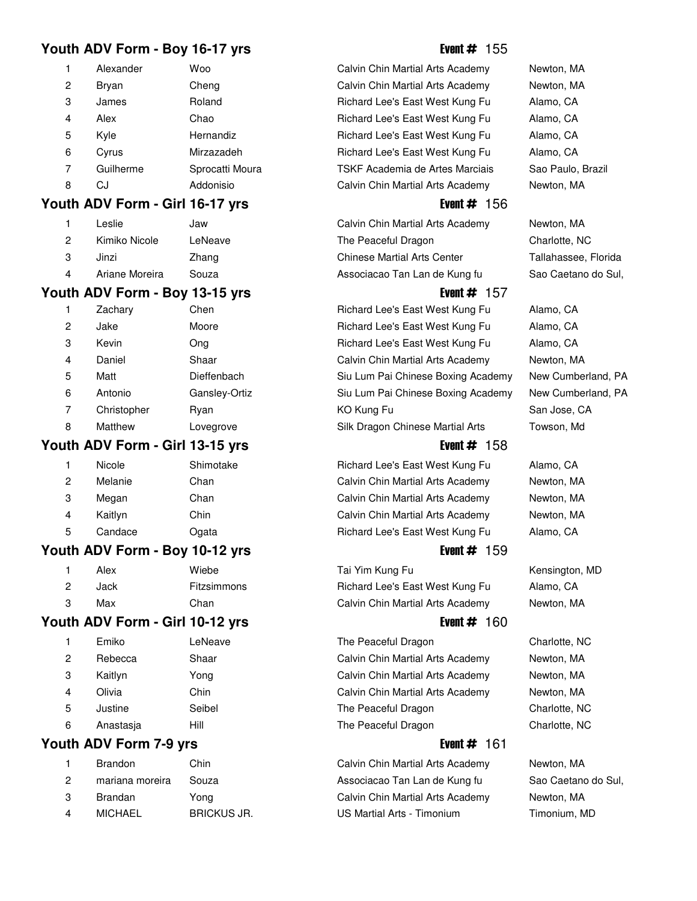# **Youth ADV Form - Boy 16-17 yrs** Event # 155

| 1            | Alexander | Woo            |
|--------------|-----------|----------------|
| $\mathbf{2}$ | Bryan     | Cheng          |
| 3            | James     | Roland         |
| 4            | Alex      | Chao           |
| 5            | Kyle      | Hernandiz      |
| 6            | Cyrus     | Mirzazadeh     |
| 7            | Guilherme | Sprocatti Mour |
| 8            | C.I       | Addonisio      |

## **Youth ADV Form - Girl 16-17 yrs Event # 156**

| 1 | Leslie         | Jaw     |
|---|----------------|---------|
| 2 | Kimiko Nicole  | LeNeave |
| З | Jinzi          | Zhang   |
| 4 | Ariane Moreira | Souza   |

## **Youth ADV Form - Boy 13-15 yrs** Event # 157

|                | Zachary     | Chen          | Richard Lee's East West Kung Fu    | Alamo, CA    |
|----------------|-------------|---------------|------------------------------------|--------------|
| $\overline{2}$ | Jake        | Moore         | Richard Lee's East West Kung Fu    | Alamo, CA    |
| 3              | Kevin       | Ong           | Richard Lee's East West Kung Fu    | Alamo, CA    |
| 4              | Daniel      | Shaar         | Calvin Chin Martial Arts Academy   | Newton, MA   |
| 5              | Matt        | Dieffenbach   | Siu Lum Pai Chinese Boxing Academy | New Cumberl  |
| 6              | Antonio     | Gansley-Ortiz | Siu Lum Pai Chinese Boxing Academy | New Cumberl  |
| 7              | Christopher | Rvan          | KO Kung Fu                         | San Jose, CA |
| 8              | Matthew     | Lovegrove     | Silk Dragon Chinese Martial Arts   | Towson, Md   |
|                |             |               |                                    |              |

## **Youth ADV Form - Girl 13-15 yrs** Event # 158

|   | Nicole  | Shimotake |
|---|---------|-----------|
| 2 | Melanie | Chan      |
| 3 | Megan   | Chan      |
| 4 | Kaitlyn | Chin      |
| 5 | Candace | Ogata     |
|   |         |           |

# **Youth ADV Form - Boy 10-12 yrs** Event # 159

|   | Alex | Wiebe       |
|---|------|-------------|
| 2 | Jack | Fitzsimmons |
| ξ | Max  | Chan        |

# **Youth ADV Form - Girl 10-12 yrs Event # 160**

| 1 | Emiko     | LeNeave |
|---|-----------|---------|
| 2 | Rebecca   | Shaar   |
| 3 | Kaitlyn   | Yong    |
| 4 | Olivia    | Chin    |
| 5 | Justine   | Seibel  |
| 6 | Anastasja | Hill    |
|   |           |         |

# **Youth ADV Form 7-9 yrs** Event # 161

|   | <b>Brandon</b>  | Chin             |
|---|-----------------|------------------|
| 2 | mariana moreira | Souza            |
| 3 | Brandan         | Yong             |
| 4 | <b>MICHAEL</b>  | <b>BRICKUS J</b> |
|   |                 |                  |

Calvin Chin Martial Arts Academy Newton, MA Calvin Chin Martial Arts Academy Newton, MA Richard Lee's East West Kung Fu Alamo, CA Richard Lee's East West Kung Fu Alamo, CA Richard Lee's East West Kung Fu Alamo, CA Richard Lee's East West Kung Fu Alamo, CA 7a **7 Guilherme Sprochaume Sao Paulo, Brazil** Catti Moura 21 TSKF Academia de Artes Marciais Sao Paulo, Brazil Calvin Chin Martial Arts Academy Newton, MA

Calvin Chin Martial Arts Academy Newton, MA The Peaceful Dragon Charlotte, NC 3 Jinzi Zhang 13 Chinese Martial Arts Center Tallahassee, Florida Associacao Tan Lan de Kung fu Sao Caetano do Sul,

Richard Lee's East West Kung Fu Alamo, CA Richard Lee's East West Kung Fu Alamo, CA Richard Lee's East West Kung Fu Alamo, CA Calvin Chin Martial Arts Academy Newton, MA Siu Lum Pai Chinese Boxing Academy New Cumberland, PA Extempt 2 Antonio Gansley-Ortiz 13 Siu Lum Pai Chinese Boxing Academy New Cumberland, PA

## Silk Dragon Chinese Martial Arts Towson, Md

Richard Lee's East West Kung Fu Alamo, CA Calvin Chin Martial Arts Academy Newton, MA Calvin Chin Martial Arts Academy Newton, MA Calvin Chin Martial Arts Academy Newton, MA Richard Lee's East West Kung Fu Alamo, CA

Tai Yim Kung Fu **Kensington**, MD Richard Lee's East West Kung Fu Alamo, CA Calvin Chin Martial Arts Academy Newton, MA

The Peaceful Dragon Charlotte, NC Calvin Chin Martial Arts Academy Newton, MA Calvin Chin Martial Arts Academy Newton, MA Calvin Chin Martial Arts Academy Newton, MA The Peaceful Dragon Charlotte, NC The Peaceful Dragon Charlotte, NC

Calvin Chin Martial Arts Academy Newton, MA Associacao Tan Lan de Kung fu Sao Caetano do Sul, Calvin Chin Martial Arts Academy Newton, MA 1 MICHAEL BRICK US Martial Arts - Timonium Timonium, MD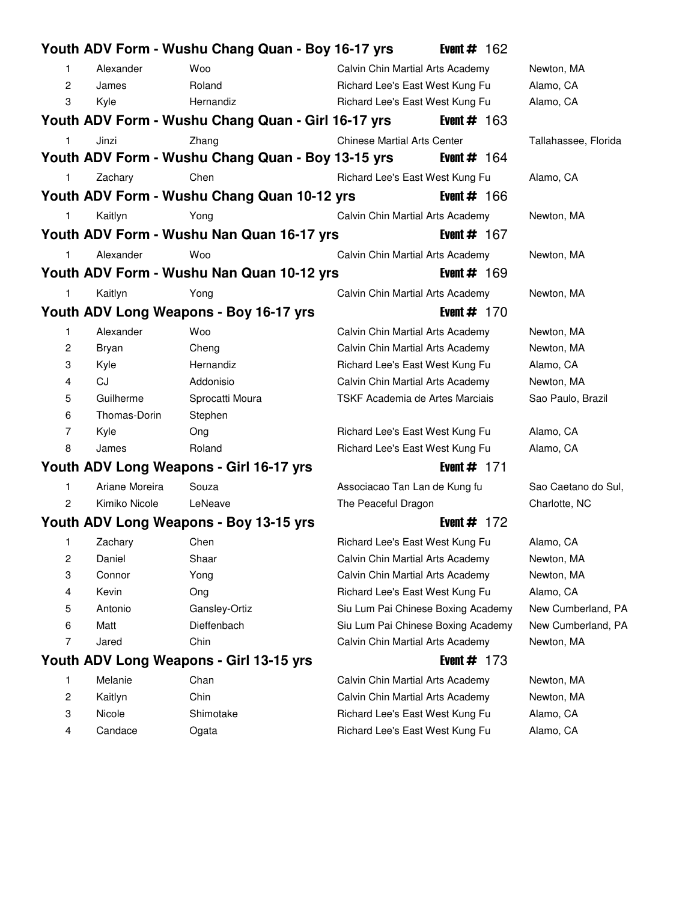|                |                | Youth ADV Form - Wushu Chang Quan - Boy 16-17 yrs  |                                    | Event $#$ 162  |                      |
|----------------|----------------|----------------------------------------------------|------------------------------------|----------------|----------------------|
| 1              | Alexander      | Woo                                                | Calvin Chin Martial Arts Academy   |                | Newton, MA           |
| $\overline{2}$ | James          | Roland                                             | Richard Lee's East West Kung Fu    |                | Alamo, CA            |
| 3              | Kyle           | Hernandiz                                          | Richard Lee's East West Kung Fu    |                | Alamo, CA            |
|                |                | Youth ADV Form - Wushu Chang Quan - Girl 16-17 yrs |                                    | Event $#$ 163  |                      |
| 1              | Jinzi          | Zhang                                              | <b>Chinese Martial Arts Center</b> |                | Tallahassee, Florida |
|                |                | Youth ADV Form - Wushu Chang Quan - Boy 13-15 yrs  |                                    | Event $\#$ 164 |                      |
| $\mathbf{1}$   | Zachary        | Chen                                               | Richard Lee's East West Kung Fu    |                | Alamo, CA            |
|                |                | Youth ADV Form - Wushu Chang Quan 10-12 yrs        |                                    | Event $\#$ 166 |                      |
| 1              | Kaitlyn        | Yong                                               | Calvin Chin Martial Arts Academy   |                | Newton, MA           |
|                |                | Youth ADV Form - Wushu Nan Quan 16-17 yrs          |                                    | Event $# 167$  |                      |
| $\mathbf{1}$   | Alexander      | Woo                                                | Calvin Chin Martial Arts Academy   |                | Newton, MA           |
|                |                | Youth ADV Form - Wushu Nan Quan 10-12 yrs          |                                    | Event $# 169$  |                      |
| 1.             | Kaitlyn        | Yong                                               | Calvin Chin Martial Arts Academy   |                | Newton, MA           |
|                |                | Youth ADV Long Weapons - Boy 16-17 yrs             |                                    | Event $# 170$  |                      |
| 1              | Alexander      | <b>Woo</b>                                         | Calvin Chin Martial Arts Academy   |                | Newton, MA           |
| $\overline{c}$ | Bryan          | Cheng                                              | Calvin Chin Martial Arts Academy   |                | Newton, MA           |
| 3              | Kyle           | Hernandiz                                          | Richard Lee's East West Kung Fu    |                | Alamo, CA            |
| 4              | CJ             | Addonisio                                          | Calvin Chin Martial Arts Academy   |                | Newton, MA           |
| 5              | Guilherme      | Sprocatti Moura                                    | TSKF Academia de Artes Marciais    |                | Sao Paulo, Brazil    |
| 6              | Thomas-Dorin   | Stephen                                            |                                    |                |                      |
| 7              | Kyle           | Ong                                                | Richard Lee's East West Kung Fu    |                | Alamo, CA            |
| 8              | James          | Roland                                             | Richard Lee's East West Kung Fu    |                | Alamo, CA            |
|                |                | Youth ADV Long Weapons - Girl 16-17 yrs            |                                    | Event $#$ 171  |                      |
| $\mathbf{1}$   | Ariane Moreira | Souza                                              | Associacao Tan Lan de Kung fu      |                | Sao Caetano do Sul.  |
| $\overline{2}$ | Kimiko Nicole  | LeNeave                                            | The Peaceful Dragon                |                | Charlotte, NC        |
|                |                | Youth ADV Long Weapons - Boy 13-15 yrs             |                                    | Event $#$ 172  |                      |
| 1              | Zachary        | Chen                                               | Richard Lee's East West Kung Fu    |                | Alamo, CA            |
| 2              | Daniel         | Shaar                                              | Calvin Chin Martial Arts Academy   |                | Newton, MA           |
| 3              | Connor         | Yong                                               | Calvin Chin Martial Arts Academy   |                | Newton, MA           |
| 4              | Kevin          | Ong                                                | Richard Lee's East West Kung Fu    |                | Alamo, CA            |
| 5              | Antonio        | Gansley-Ortiz                                      | Siu Lum Pai Chinese Boxing Academy |                | New Cumberland, PA   |
| 6              | Matt           | Dieffenbach                                        | Siu Lum Pai Chinese Boxing Academy |                | New Cumberland, PA   |
| 7              | Jared          | Chin                                               | Calvin Chin Martial Arts Academy   |                | Newton, MA           |
|                |                | Youth ADV Long Weapons - Girl 13-15 yrs            |                                    | Event $# 173$  |                      |
| 1              | Melanie        | Chan                                               | Calvin Chin Martial Arts Academy   |                | Newton, MA           |
| 2              | Kaitlyn        | Chin                                               | Calvin Chin Martial Arts Academy   |                | Newton, MA           |
| 3              | Nicole         | Shimotake                                          | Richard Lee's East West Kung Fu    |                | Alamo, CA            |
| 4              | Candace        | Ogata                                              | Richard Lee's East West Kung Fu    |                | Alamo, CA            |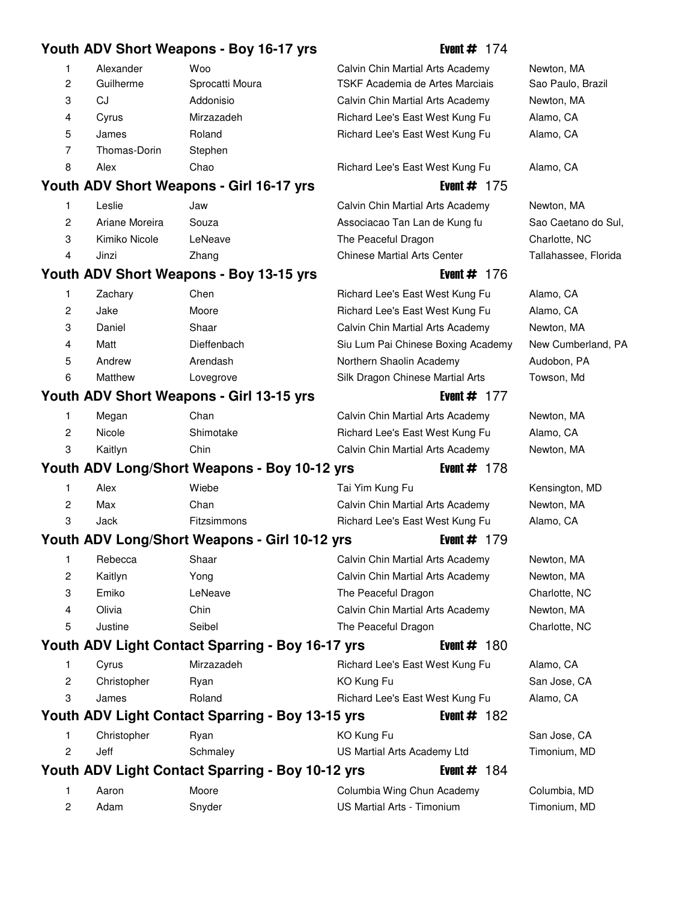# Youth ADV Short Weapons - Boy 16-17 yrs **Event # 174**

| $\mathbf{1}$   | Alexander      | Woo                                              | Calvin Chin Martial Arts Academy   | Newton, MA           |
|----------------|----------------|--------------------------------------------------|------------------------------------|----------------------|
| $\overline{2}$ | Guilherme      | Sprocatti Moura                                  | TSKF Academia de Artes Marciais    | Sao Paulo, Brazil    |
| 3              | CJ             | Addonisio                                        | Calvin Chin Martial Arts Academy   | Newton, MA           |
| 4              | Cyrus          | Mirzazadeh                                       | Richard Lee's East West Kung Fu    | Alamo, CA            |
| 5              | James          | Roland                                           | Richard Lee's East West Kung Fu    | Alamo, CA            |
| 7              | Thomas-Dorin   | Stephen                                          |                                    |                      |
| 8              | Alex           | Chao                                             | Richard Lee's East West Kung Fu    | Alamo, CA            |
|                |                | Youth ADV Short Weapons - Girl 16-17 yrs         | Event $#$ 175                      |                      |
| 1              | Leslie         | Jaw                                              | Calvin Chin Martial Arts Academy   | Newton, MA           |
| $\overline{c}$ | Ariane Moreira | Souza                                            | Associacao Tan Lan de Kung fu      | Sao Caetano do Sul,  |
| 3              | Kimiko Nicole  | LeNeave                                          | The Peaceful Dragon                | Charlotte, NC        |
| 4              | Jinzi          | Zhang                                            | <b>Chinese Martial Arts Center</b> | Tallahassee, Florida |
|                |                | Youth ADV Short Weapons - Boy 13-15 yrs          | Event $\#$ 176                     |                      |
| 1              | Zachary        | Chen                                             | Richard Lee's East West Kung Fu    | Alamo, CA            |
| $\overline{2}$ | Jake           | Moore                                            | Richard Lee's East West Kung Fu    | Alamo, CA            |
| 3              | Daniel         | Shaar                                            | Calvin Chin Martial Arts Academy   | Newton, MA           |
| 4              | Matt           | Dieffenbach                                      | Siu Lum Pai Chinese Boxing Academy | New Cumberland, PA   |
| 5              | Andrew         | Arendash                                         | Northern Shaolin Academy           | Audobon, PA          |
| 6              | Matthew        | Lovegrove                                        | Silk Dragon Chinese Martial Arts   | Towson, Md           |
|                |                | Youth ADV Short Weapons - Girl 13-15 yrs         | Event $# 177$                      |                      |
| 1              | Megan          | Chan                                             | Calvin Chin Martial Arts Academy   | Newton, MA           |
| $\overline{c}$ | Nicole         | Shimotake                                        | Richard Lee's East West Kung Fu    | Alamo, CA            |
| 3              | Kaitlyn        | Chin                                             | Calvin Chin Martial Arts Academy   | Newton, MA           |
|                |                | Youth ADV Long/Short Weapons - Boy 10-12 yrs     | Event $# 178$                      |                      |
| 1              | Alex           | Wiebe                                            | Tai Yim Kung Fu                    | Kensington, MD       |
| $\overline{c}$ | Max            | Chan                                             | Calvin Chin Martial Arts Academy   | Newton, MA           |
| 3              | Jack           | Fitzsimmons                                      | Richard Lee's East West Kung Fu    | Alamo, CA            |
|                |                | Youth ADV Long/Short Weapons - Girl 10-12 yrs    | Event $# 179$                      |                      |
| 1              | Rebecca        | Shaar                                            | Calvin Chin Martial Arts Academy   | Newton, MA           |
| 2              | Kaitlyn        | Yong                                             | Calvin Chin Martial Arts Academy   | Newton, MA           |
| 3              | Emiko          | LeNeave                                          | The Peaceful Dragon                | Charlotte, NC        |
| 4              | Olivia         | Chin                                             | Calvin Chin Martial Arts Academy   | Newton, MA           |
| 5              | Justine        | Seibel                                           | The Peaceful Dragon                | Charlotte, NC        |
|                |                | Youth ADV Light Contact Sparring - Boy 16-17 yrs | Event $# 180$                      |                      |
|                |                |                                                  |                                    |                      |
| 1.             | Cyrus          | Mirzazadeh                                       | Richard Lee's East West Kung Fu    | Alamo, CA            |
| 2              | Christopher    | Ryan                                             | KO Kung Fu                         | San Jose, CA         |
| 3              | James          | Roland                                           | Richard Lee's East West Kung Fu    | Alamo, CA            |
|                |                | Youth ADV Light Contact Sparring - Boy 13-15 yrs | Event $# 182$                      |                      |
| 1              | Christopher    | Ryan                                             | KO Kung Fu                         | San Jose, CA         |
| $\overline{c}$ | Jeff           | Schmaley                                         | US Martial Arts Academy Ltd        | Timonium, MD         |
|                |                | Youth ADV Light Contact Sparring - Boy 10-12 yrs | Event $# 184$                      |                      |
| 1              | Aaron          | Moore                                            | Columbia Wing Chun Academy         | Columbia, MD         |
| $\overline{c}$ | Adam           | Snyder                                           | US Martial Arts - Timonium         | Timonium, MD         |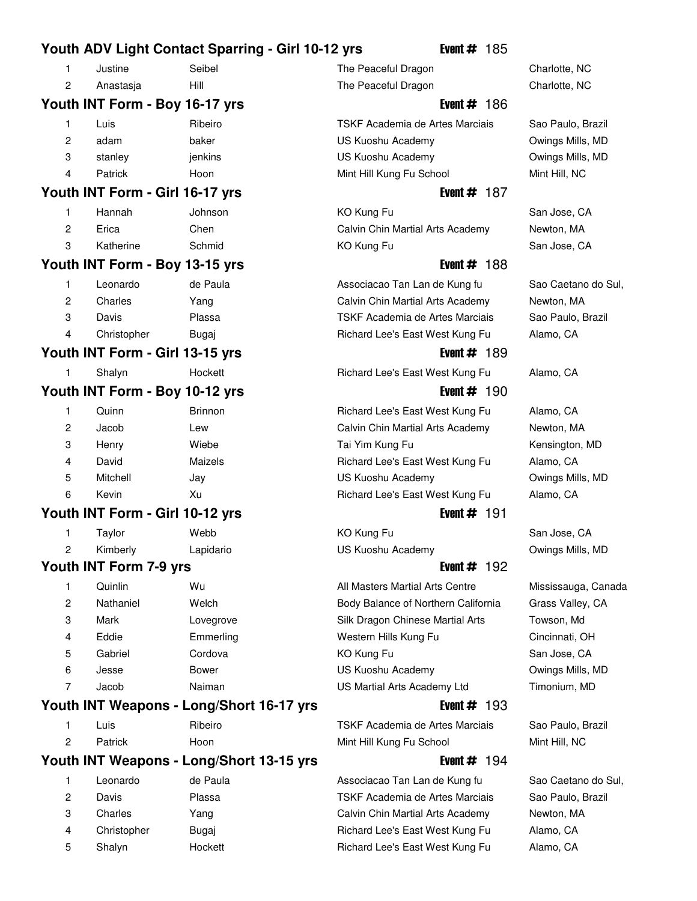|   |                                 | Youth ADV Light Contact Sparring - Girl 10-12 yrs | Event $#$ 185                       |                     |
|---|---------------------------------|---------------------------------------------------|-------------------------------------|---------------------|
| 1 | Justine                         | Seibel                                            | The Peaceful Dragon                 | Charlotte, NC       |
| 2 | Anastasja                       | Hill                                              | The Peaceful Dragon                 | Charlotte, NC       |
|   | Youth INT Form - Boy 16-17 yrs  |                                                   | Event $\#$ 186                      |                     |
| 1 | Luis                            | Ribeiro                                           | TSKF Academia de Artes Marciais     | Sao Paulo, Brazil   |
| 2 | adam                            | baker                                             | US Kuoshu Academy                   | Owings Mills, MD    |
| 3 | stanley                         | jenkins                                           | US Kuoshu Academy                   | Owings Mills, MD    |
| 4 | Patrick                         | Hoon                                              | Mint Hill Kung Fu School            | Mint Hill, NC       |
|   | Youth INT Form - Girl 16-17 yrs |                                                   | Event $# 187$                       |                     |
| 1 | Hannah                          | Johnson                                           | KO Kung Fu                          | San Jose, CA        |
| 2 | Erica                           | Chen                                              | Calvin Chin Martial Arts Academy    | Newton, MA          |
| 3 | Katherine                       | Schmid                                            | KO Kung Fu                          | San Jose, CA        |
|   | Youth INT Form - Boy 13-15 yrs  |                                                   | Event $# 188$                       |                     |
| 1 | Leonardo                        | de Paula                                          | Associacao Tan Lan de Kung fu       | Sao Caetano do Sul, |
| 2 | Charles                         | Yang                                              | Calvin Chin Martial Arts Academy    | Newton, MA          |
| 3 | Davis                           | Plassa                                            | TSKF Academia de Artes Marciais     | Sao Paulo, Brazil   |
| 4 | Christopher                     | Bugaj                                             | Richard Lee's East West Kung Fu     | Alamo, CA           |
|   | Youth INT Form - Girl 13-15 yrs |                                                   | Event $# 189$                       |                     |
| 1 | Shalyn                          | Hockett                                           | Richard Lee's East West Kung Fu     | Alamo, CA           |
|   | Youth INT Form - Boy 10-12 yrs  |                                                   | Event $# 190$                       |                     |
| 1 | Quinn                           | <b>Brinnon</b>                                    | Richard Lee's East West Kung Fu     | Alamo, CA           |
| 2 | Jacob                           | Lew                                               | Calvin Chin Martial Arts Academy    | Newton, MA          |
| 3 | Henry                           | Wiebe                                             | Tai Yim Kung Fu                     | Kensington, MD      |
| 4 | David                           | Maizels                                           | Richard Lee's East West Kung Fu     | Alamo, CA           |
| 5 | Mitchell                        | Jay                                               | US Kuoshu Academy                   | Owings Mills, MD    |
| 6 | Kevin                           | Xu                                                | Richard Lee's East West Kung Fu     | Alamo, CA           |
|   | Youth INT Form - Girl 10-12 yrs |                                                   | Event $#$ 191                       |                     |
| 1 | Taylor                          | Webb                                              | KO Kung Fu                          | San Jose, CA        |
|   | Kimberly                        | Lapidario                                         | US Kuoshu Academy                   | Owings Mills, MD    |
|   | Youth INT Form 7-9 yrs          |                                                   | Event $#$ 192                       |                     |
| 1 | Quinlin                         | Wu                                                | All Masters Martial Arts Centre     | Mississauga, Canada |
| 2 | Nathaniel                       | Welch                                             | Body Balance of Northern California | Grass Valley, CA    |
| 3 | Mark                            | Lovegrove                                         | Silk Dragon Chinese Martial Arts    | Towson, Md          |
| 4 | Eddie                           | Emmerling                                         | Western Hills Kung Fu               | Cincinnati, OH      |
| 5 | Gabriel                         | Cordova                                           | KO Kung Fu                          | San Jose, CA        |
| 6 | Jesse                           | <b>Bower</b>                                      | US Kuoshu Academy                   | Owings Mills, MD    |
| 7 | Jacob                           | Naiman                                            | US Martial Arts Academy Ltd         | Timonium, MD        |
|   |                                 | Youth INT Weapons - Long/Short 16-17 yrs          | Event $#$ 193                       |                     |
| 1 | Luis                            | Ribeiro                                           | TSKF Academia de Artes Marciais     | Sao Paulo, Brazil   |
| 2 | Patrick                         | Hoon                                              | Mint Hill Kung Fu School            | Mint Hill, NC       |
|   |                                 | Youth INT Weapons - Long/Short 13-15 yrs          | Event $# 194$                       |                     |
| 1 | Leonardo                        | de Paula                                          | Associacao Tan Lan de Kung fu       | Sao Caetano do Sul, |
| 2 | Davis                           | Plassa                                            | TSKF Academia de Artes Marciais     | Sao Paulo, Brazil   |
| 3 | Charles                         | Yang                                              | Calvin Chin Martial Arts Academy    | Newton, MA          |
| 4 | Christopher                     | Bugaj                                             | Richard Lee's East West Kung Fu     | Alamo, CA           |

5 Shalyn Hockett 16 Richard Lee's East West Kung Fu Alamo, CA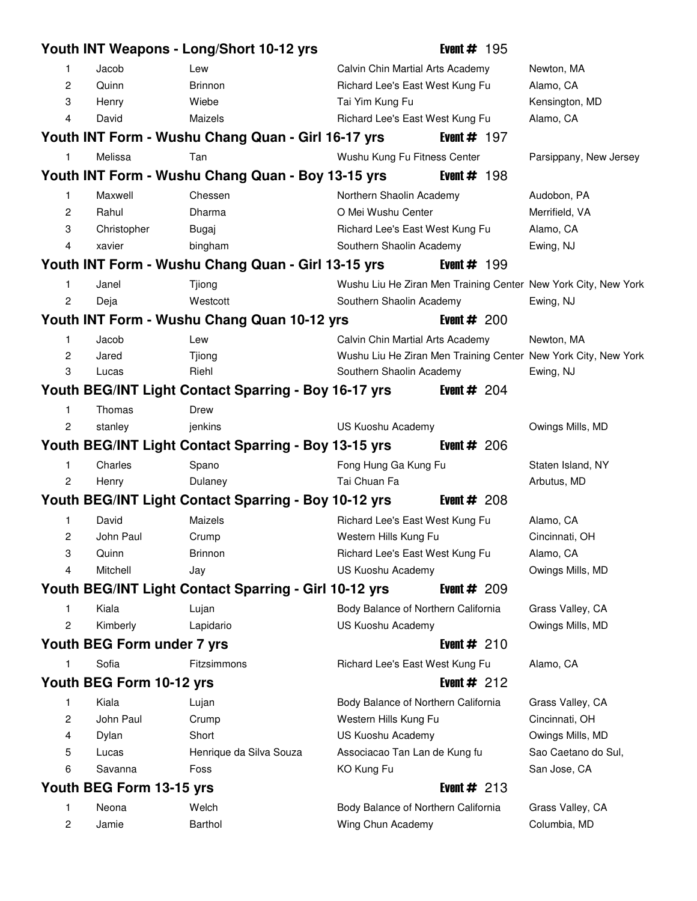|                |                            | Youth INT Weapons - Long/Short 10-12 yrs              |                                     | Event $# 195$  |                                                                |
|----------------|----------------------------|-------------------------------------------------------|-------------------------------------|----------------|----------------------------------------------------------------|
| 1              | Jacob                      | Lew                                                   | Calvin Chin Martial Arts Academy    |                | Newton, MA                                                     |
| $\overline{c}$ | Quinn                      | <b>Brinnon</b>                                        | Richard Lee's East West Kung Fu     |                | Alamo, CA                                                      |
| 3              | Henry                      | Wiebe                                                 | Tai Yim Kung Fu                     |                | Kensington, MD                                                 |
| 4              | David                      | Maizels                                               | Richard Lee's East West Kung Fu     |                | Alamo, CA                                                      |
|                |                            | Youth INT Form - Wushu Chang Quan - Girl 16-17 yrs    |                                     | Event $# 197$  |                                                                |
| 1              | Melissa                    | Tan                                                   | Wushu Kung Fu Fitness Center        |                | Parsippany, New Jersey                                         |
|                |                            | Youth INT Form - Wushu Chang Quan - Boy 13-15 yrs     |                                     | Event $# 198$  |                                                                |
| 1              | Maxwell                    | Chessen                                               | Northern Shaolin Academy            |                | Audobon, PA                                                    |
| 2              | Rahul                      | Dharma                                                | O Mei Wushu Center                  |                | Merrifield, VA                                                 |
| 3              | Christopher                | Bugaj                                                 | Richard Lee's East West Kung Fu     |                | Alamo, CA                                                      |
| $\overline{4}$ | xavier                     | bingham                                               | Southern Shaolin Academy            |                | Ewing, NJ                                                      |
|                |                            | Youth INT Form - Wushu Chang Quan - Girl 13-15 yrs    |                                     | Event $#$ 199  |                                                                |
| $\mathbf{1}$   | Janel                      | Tjiong                                                |                                     |                | Wushu Liu He Ziran Men Training Center New York City, New York |
| $\overline{c}$ | Deja                       | Westcott                                              | Southern Shaolin Academy            |                | Ewing, NJ                                                      |
|                |                            | Youth INT Form - Wushu Chang Quan 10-12 yrs           |                                     | Event $\#$ 200 |                                                                |
| 1              | Jacob                      | Lew                                                   | Calvin Chin Martial Arts Academy    |                | Newton, MA                                                     |
| $\overline{c}$ | Jared                      | Tjiong                                                |                                     |                | Wushu Liu He Ziran Men Training Center New York City, New York |
| 3              | Lucas                      | Riehl                                                 | Southern Shaolin Academy            |                | Ewing, NJ                                                      |
|                |                            | Youth BEG/INT Light Contact Sparring - Boy 16-17 yrs  |                                     | Event $# 204$  |                                                                |
| 1              | Thomas                     | <b>Drew</b>                                           |                                     |                |                                                                |
| $\overline{c}$ | stanley                    | jenkins                                               | US Kuoshu Academy                   |                | Owings Mills, MD                                               |
|                |                            | Youth BEG/INT Light Contact Sparring - Boy 13-15 yrs  |                                     | Event $\#$ 206 |                                                                |
| 1              | Charles                    | Spano                                                 | Fong Hung Ga Kung Fu                |                | Staten Island, NY                                              |
| $\overline{c}$ | Henry                      | Dulaney                                               | Tai Chuan Fa                        |                | Arbutus, MD                                                    |
|                |                            | Youth BEG/INT Light Contact Sparring - Boy 10-12 yrs  |                                     | Event $\#$ 208 |                                                                |
| 1              | David                      | Maizels                                               | Richard Lee's East West Kung Fu     |                | Alamo, CA                                                      |
| 2              | John Paul                  | Crump                                                 | Western Hills Kung Fu               |                | Cincinnati, OH                                                 |
| 3              | Quinn                      | <b>Brinnon</b>                                        | Richard Lee's East West Kung Fu     |                | Alamo, CA                                                      |
| 4              | Mitchell                   | Jay                                                   | US Kuoshu Academy                   |                | Owings Mills, MD                                               |
|                |                            | Youth BEG/INT Light Contact Sparring - Girl 10-12 yrs |                                     | Event $# 209$  |                                                                |
| 1              | Kiala                      | Lujan                                                 | Body Balance of Northern California |                | Grass Valley, CA                                               |
| 2              | Kimberly                   | Lapidario                                             | US Kuoshu Academy                   |                | Owings Mills, MD                                               |
|                | Youth BEG Form under 7 yrs |                                                       |                                     | Event $#210$   |                                                                |
| 1              | Sofia                      | Fitzsimmons                                           | Richard Lee's East West Kung Fu     |                | Alamo, CA                                                      |
|                | Youth BEG Form 10-12 yrs   |                                                       |                                     | Event $#212$   |                                                                |
| 1              | Kiala                      | Lujan                                                 | Body Balance of Northern California |                | Grass Valley, CA                                               |
| 2              | John Paul                  | Crump                                                 | Western Hills Kung Fu               |                | Cincinnati, OH                                                 |
| 4              | Dylan                      | Short                                                 | US Kuoshu Academy                   |                | Owings Mills, MD                                               |
| 5              | Lucas                      | Henrique da Silva Souza                               | Associacao Tan Lan de Kung fu       |                | Sao Caetano do Sul,                                            |
| 6              | Savanna                    | Foss                                                  | KO Kung Fu                          |                | San Jose, CA                                                   |
|                | Youth BEG Form 13-15 yrs   |                                                       |                                     | Event $#213$   |                                                                |
| 1              | Neona                      | Welch                                                 | Body Balance of Northern California |                | Grass Valley, CA                                               |
| 2              | Jamie                      | Barthol                                               | Wing Chun Academy                   |                | Columbia, MD                                                   |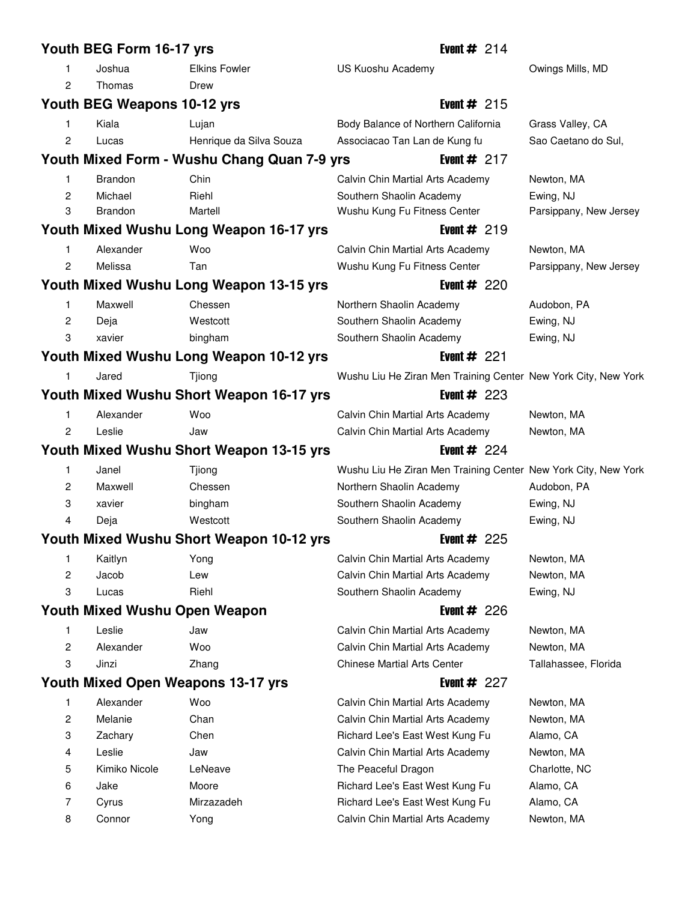|        | Youth BEG Form 16-17 yrs             |                                             | Event $# 214$                                                        |                          |
|--------|--------------------------------------|---------------------------------------------|----------------------------------------------------------------------|--------------------------|
| 1      | Joshua                               | <b>Elkins Fowler</b>                        | US Kuoshu Academy                                                    | Owings Mills, MD         |
| 2      | Thomas                               | Drew                                        |                                                                      |                          |
|        | Youth BEG Weapons 10-12 yrs          |                                             | Event $#215$                                                         |                          |
| 1      | Kiala                                | Lujan                                       | Body Balance of Northern California                                  | Grass Valley, CA         |
| 2      | Lucas                                | Henrique da Silva Souza                     | Associacao Tan Lan de Kung fu                                        | Sao Caetano do Sul,      |
|        |                                      | Youth Mixed Form - Wushu Chang Quan 7-9 yrs | Event $# 217$                                                        |                          |
| 1      | <b>Brandon</b>                       | Chin                                        | Calvin Chin Martial Arts Academy                                     | Newton, MA               |
| 2      | Michael                              | Riehl                                       | Southern Shaolin Academy                                             | Ewing, NJ                |
| 3      | Brandon                              | Martell                                     | Wushu Kung Fu Fitness Center                                         | Parsippany, New Jersey   |
|        |                                      | Youth Mixed Wushu Long Weapon 16-17 yrs     | Event $#219$                                                         |                          |
| 1      | Alexander                            | Woo                                         | Calvin Chin Martial Arts Academy                                     | Newton, MA               |
| 2      | Melissa                              | Tan                                         | Wushu Kung Fu Fitness Center                                         | Parsippany, New Jersey   |
|        |                                      | Youth Mixed Wushu Long Weapon 13-15 yrs     | Event $#220$                                                         |                          |
| 1      | Maxwell                              | Chessen                                     | Northern Shaolin Academy                                             | Audobon, PA              |
| 2      | Deja                                 | Westcott                                    | Southern Shaolin Academy                                             | Ewing, NJ                |
| 3      | xavier                               | bingham                                     | Southern Shaolin Academy                                             | Ewing, NJ                |
|        |                                      | Youth Mixed Wushu Long Weapon 10-12 yrs     | Event $# 221$                                                        |                          |
|        | Jared                                | Tjiong                                      | Wushu Liu He Ziran Men Training Center New York City, New York       |                          |
|        |                                      | Youth Mixed Wushu Short Weapon 16-17 yrs    | Event $# 223$                                                        |                          |
| 1      | Alexander                            | Woo                                         | Calvin Chin Martial Arts Academy                                     | Newton, MA               |
| 2      | Leslie                               | Jaw                                         | Calvin Chin Martial Arts Academy                                     | Newton, MA               |
|        |                                      |                                             |                                                                      |                          |
|        |                                      |                                             | Event $# 224$                                                        |                          |
| 1      |                                      | Youth Mixed Wushu Short Weapon 13-15 yrs    |                                                                      |                          |
|        | Janel<br>Maxwell                     | Tjiong<br>Chessen                           | Wushu Liu He Ziran Men Training Center New York City, New York       |                          |
| 2<br>3 | xavier                               |                                             | Northern Shaolin Academy                                             | Audobon, PA              |
| 4      |                                      | bingham<br>Westcott                         | Southern Shaolin Academy                                             | Ewing, NJ                |
|        | Deja                                 |                                             | Southern Shaolin Academy<br>Event $\#$ 225                           | Ewing, NJ                |
| 1      |                                      | Youth Mixed Wushu Short Weapon 10-12 yrs    |                                                                      |                          |
| 2      | Kaitlyn<br>Jacob                     | Yong<br>Lew                                 | Calvin Chin Martial Arts Academy<br>Calvin Chin Martial Arts Academy | Newton, MA<br>Newton, MA |
| 3      | Lucas                                | Riehl                                       | Southern Shaolin Academy                                             | Ewing, NJ                |
|        | <b>Youth Mixed Wushu Open Weapon</b> |                                             | Event $# 226$                                                        |                          |
| 1      | Leslie                               | Jaw                                         | Calvin Chin Martial Arts Academy                                     | Newton, MA               |
| 2      | Alexander                            | Woo                                         | Calvin Chin Martial Arts Academy                                     | Newton, MA               |
| 3      | Jinzi                                | Zhang                                       | <b>Chinese Martial Arts Center</b>                                   | Tallahassee, Florida     |
|        |                                      | Youth Mixed Open Weapons 13-17 yrs          | Event $# 227$                                                        |                          |
| 1      | Alexander                            | Woo                                         | Calvin Chin Martial Arts Academy                                     | Newton, MA               |
| 2      | Melanie                              | Chan                                        | Calvin Chin Martial Arts Academy                                     | Newton, MA               |
| 3      | Zachary                              | Chen                                        | Richard Lee's East West Kung Fu                                      | Alamo, CA                |
| 4      | Leslie                               | Jaw                                         | Calvin Chin Martial Arts Academy                                     | Newton, MA               |
| 5      | Kimiko Nicole                        | LeNeave                                     | The Peaceful Dragon                                                  | Charlotte, NC            |
| 6      | Jake                                 | Moore                                       | Richard Lee's East West Kung Fu                                      | Alamo, CA                |
| 7      | Cyrus                                | Mirzazadeh                                  | Richard Lee's East West Kung Fu                                      | Alamo, CA                |
| 8      | Connor                               | Yong                                        | Calvin Chin Martial Arts Academy                                     | Newton, MA               |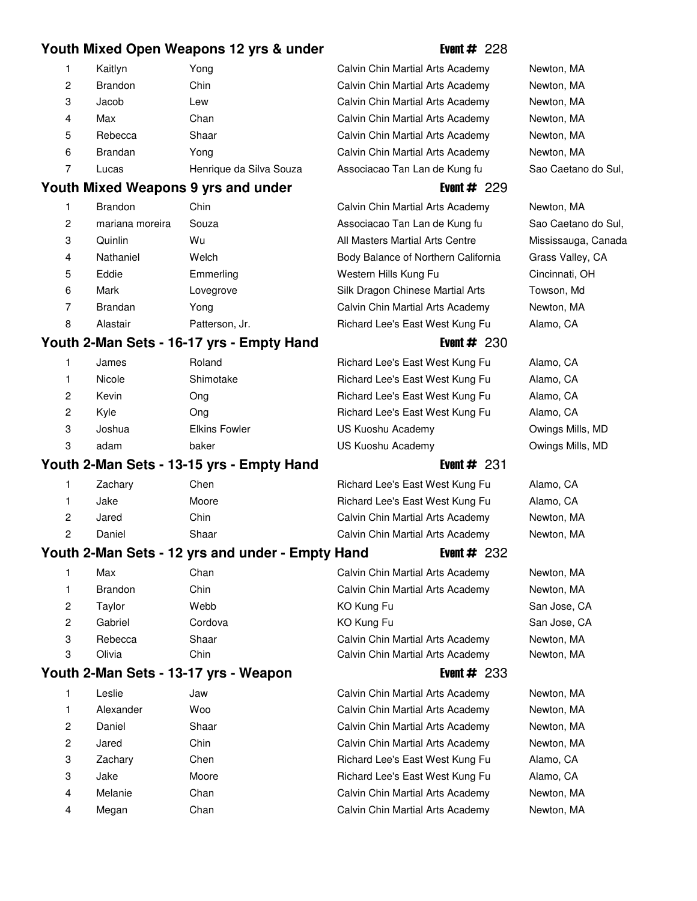## **Youth Mixed Open Weapons 12 yrs & under** Figure 5. Event # 228

|                | Kaitlyn        | Yong                   |
|----------------|----------------|------------------------|
| $\overline{c}$ | <b>Brandon</b> | Chin                   |
| 3              | Jacob          | Lew                    |
| 4              | Max            | Chan                   |
| 5              | Rebecca        | Shaar                  |
| 6              | <b>Brandan</b> | Yong                   |
|                | Lucas          | Henrique da Silva Souz |

## **Youth Mixed Weapons 9 yrs and under** Figure 229

| 1              | <b>Brandon</b>  | Chin           |
|----------------|-----------------|----------------|
| $\overline{c}$ | mariana moreira | Souza          |
| 3              | Quinlin         | Wu             |
| $\overline{4}$ | Nathaniel       | Welch          |
| 5              | Eddie           | Emmerling      |
| 6              | Mark            | Lovegrove      |
| 7              | <b>Brandan</b>  | Yong           |
| 8              | Alastair        | Patterson, Jr. |

# **Youth 2-Man Sets - 16-17 yrs - Empty Hand** Free Event # 230

| 1 | James  | Roland               |
|---|--------|----------------------|
| 1 | Nicole | Shimotake            |
| 2 | Kevin  | Ong                  |
| 2 | Kyle   | Ong                  |
| 3 | Joshua | <b>Elkins Fowler</b> |
| 3 | adam   | baker                |
|   |        |                      |

## **Youth 2-Man Sets - 13-15 yrs - Empty Hand** Free Event # 231 1 Zachary Chen 19 Chen 19 Richard Lee's East West Kung Fu Alamo, CA 1 Jake 51 Moore 51 Moore 51 Moore 51 Moore 51 Richard Lee's East West Kung Fu Alamo, CA 2 Jared Chin 18 Chin 18 Calvin Chin Martial Arts Academy Newton, MA

# 2 Daniel Shaar 13 Calvin Chin Martial Arts Academy Newton, MA

|                | Max            | Chan    | Calvin Chin Martial Arts Academy | Newton, MA   |
|----------------|----------------|---------|----------------------------------|--------------|
|                | <b>Brandon</b> | Chin    | Calvin Chin Martial Arts Academy | Newton, MA   |
| $\overline{2}$ | Tavlor         | Webb    | KO Kung Fu                       | San Jose, CA |
| $\overline{2}$ | Gabriel        | Cordova | KO Kung Fu                       | San Jose, CA |
| 3              | Rebecca        | Shaar   | Calvin Chin Martial Arts Academy | Newton, MA   |
| 3              | Olivia         | Chin    | Calvin Chin Martial Arts Academy | Newton, MA   |
|                |                |         |                                  |              |

## **Youth 2-Man Sets - 13-17 yrs - Weapon** Event # 233

| 1 | Leslie    | Jaw   |
|---|-----------|-------|
| 1 | Alexander | Woo   |
| 2 | Daniel    | Shaar |
| 2 | Jared     | Chin  |
| 3 | Zachary   | Chen  |
| 3 | Jake      | Moore |
| 4 | Melanie   | Chan  |
| 4 | Megan     | Chan  |

Calvin Chin Martial Arts Academy Newton, MA Calvin Chin Martial Arts Academy Newton, MA Calvin Chin Martial Arts Academy Newton, MA Calvin Chin Martial Arts Academy Newton, MA Calvin Chin Martial Arts Academy Newton, MA Calvin Chin Martial Arts Academy Newton, MA 7 Associacao Tan Lan de Kung fu Sao Caetano do Sul,

Calvin Chin Martial Arts Academy Newton, MA Associacao Tan Lan de Kung fu Sao Caetano do Sul, All Masters Martial Arts Centre Mississauga, Canada Body Balance of Northern California Grass Valley, CA Western Hills Kung Fu Cincinnati, OH Silk Dragon Chinese Martial Arts Towson, Md Calvin Chin Martial Arts Academy Newton, MA Richard Lee's East West Kung Fu Alamo, CA

Richard Lee's East West Kung Fu Alamo, CA Richard Lee's East West Kung Fu Alamo, CA Richard Lee's East West Kung Fu Alamo, CA Richard Lee's East West Kung Fu Alamo, CA US Kuoshu Academy **Owings Mills, MD** US Kuoshu Academy **Owings Mills, MD** 

**Youth 2-Man Sets - 12 yrs and under - Empty Hand Figure 4 Figure 4 232** 

Calvin Chin Martial Arts Academy Newton, MA Calvin Chin Martial Arts Academy Newton, MA Calvin Chin Martial Arts Academy Newton, MA Calvin Chin Martial Arts Academy Newton, MA Richard Lee's East West Kung Fu Alamo, CA Richard Lee's East West Kung Fu Alamo, CA Calvin Chin Martial Arts Academy Newton, MA Calvin Chin Martial Arts Academy Newton, MA

San Jose, CA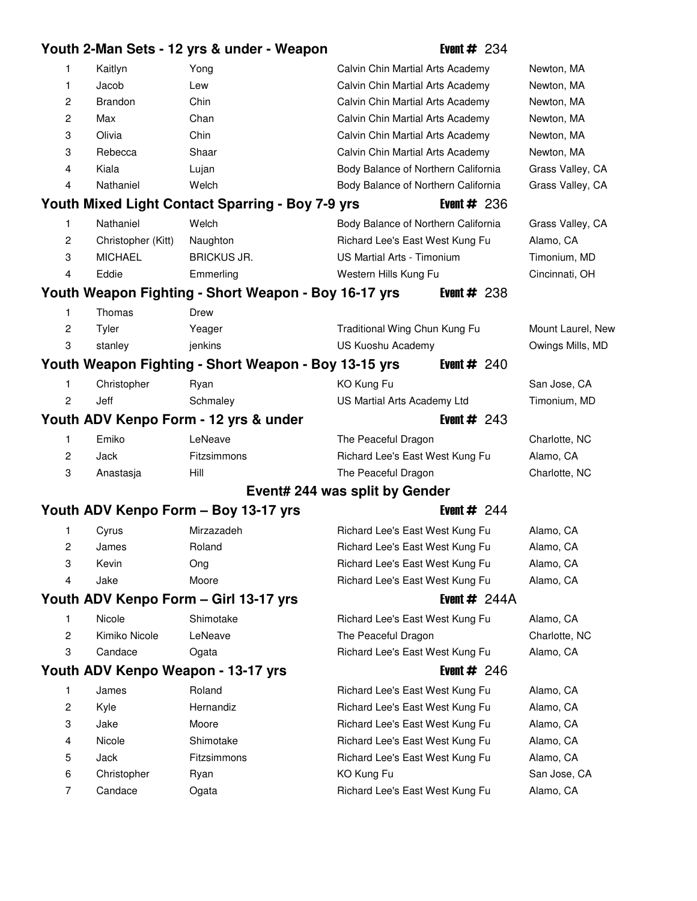# **Youth 2-Man Sets - 12 yrs & under - Weapon** Event # 234

| Jacob<br>Calvin Chin Martial Arts Academy<br>Newton, MA<br>1<br>Lew<br>2<br>Brandon<br>Chin<br>Calvin Chin Martial Arts Academy<br>Newton, MA<br>$\overline{c}$<br>Max<br>Chan<br>Calvin Chin Martial Arts Academy<br>Newton, MA<br>3<br>Olivia<br>Chin<br>Calvin Chin Martial Arts Academy<br>Newton, MA<br>3<br>Rebecca<br>Shaar<br>Calvin Chin Martial Arts Academy<br>Newton, MA<br>4<br>Kiala<br>Body Balance of Northern California<br>Lujan<br>Grass Valley, CA<br>Nathaniel<br>Welch<br>Body Balance of Northern California<br>Grass Valley, CA<br>4<br>Youth Mixed Light Contact Sparring - Boy 7-9 yrs<br>Event $\#$ 236<br>Nathaniel<br>Welch<br>Body Balance of Northern California<br>Grass Valley, CA<br>1<br>2<br>Richard Lee's East West Kung Fu<br>Christopher (Kitt)<br>Naughton<br>Alamo, CA<br><b>US Martial Arts - Timonium</b><br>3<br><b>MICHAEL</b><br><b>BRICKUS JR.</b><br>Timonium, MD<br>Eddie<br>Emmerling<br>Western Hills Kung Fu<br>Cincinnati, OH<br>4<br>Youth Weapon Fighting - Short Weapon - Boy 16-17 yrs<br>Event $\#$ 238<br>Thomas<br>1<br>Drew<br>$\overline{c}$<br>Tyler<br>Traditional Wing Chun Kung Fu<br>Yeager<br>Mount Laurel, New<br>3<br>US Kuoshu Academy<br>stanley<br>jenkins<br>Owings Mills, MD<br>Youth Weapon Fighting - Short Weapon - Boy 13-15 yrs<br>Event $\#$ 240<br>Christopher<br>KO Kung Fu<br>San Jose, CA<br>Ryan<br>1<br>2<br>Jeff<br>Schmaley<br>US Martial Arts Academy Ltd<br>Timonium, MD<br>Youth ADV Kenpo Form - 12 yrs & under<br>Event $#243$<br>Emiko<br>1<br>LeNeave<br>Charlotte, NC<br>The Peaceful Dragon<br>2<br>Jack<br>Fitzsimmons<br>Richard Lee's East West Kung Fu<br>Alamo, CA<br>3<br>Hill<br>The Peaceful Dragon<br>Charlotte, NC<br>Anastasja<br>Event# 244 was split by Gender<br>Youth ADV Kenpo Form - Boy 13-17 yrs<br>Event $# 244$<br>Mirzazadeh<br>Cyrus<br>Richard Lee's East West Kung Fu<br>Alamo, CA<br>1<br>2<br>Richard Lee's East West Kung Fu<br>James<br>Roland<br>Alamo, CA<br>3<br>Richard Lee's East West Kung Fu<br>Kevin<br>Alamo, CA<br>Ong<br>Jake<br>Moore<br>Richard Lee's East West Kung Fu<br>Alamo, CA<br>4<br>Youth ADV Kenpo Form - Girl 13-17 yrs<br>Event $# 244A$<br>Nicole<br>Shimotake<br>1<br>Richard Lee's East West Kung Fu<br>Alamo, CA<br>Kimiko Nicole<br>LeNeave<br>The Peaceful Dragon<br>Charlotte, NC<br>2<br>3<br>Candace<br>Richard Lee's East West Kung Fu<br>Alamo, CA<br>Ogata<br>Youth ADV Kenpo Weapon - 13-17 yrs<br>Event $\#$ 246<br>Roland<br>Richard Lee's East West Kung Fu<br>1<br>James<br>Alamo, CA<br>2<br>Hernandiz<br>Kyle<br>Richard Lee's East West Kung Fu<br>Alamo, CA<br>3<br>Jake<br>Moore<br>Richard Lee's East West Kung Fu<br>Alamo, CA<br>Shimotake<br>Nicole<br>Alamo, CA<br>Richard Lee's East West Kung Fu<br>4<br>5<br>Fitzsimmons<br>Alamo, CA<br>Jack<br>Richard Lee's East West Kung Fu<br>KO Kung Fu<br>San Jose, CA<br>6<br>Christopher<br>Ryan<br>Candace<br>Alamo, CA<br>7<br>Richard Lee's East West Kung Fu<br>Ogata | 1 | Kaitlyn | Yong | Calvin Chin Martial Arts Academy | Newton, MA |
|-----------------------------------------------------------------------------------------------------------------------------------------------------------------------------------------------------------------------------------------------------------------------------------------------------------------------------------------------------------------------------------------------------------------------------------------------------------------------------------------------------------------------------------------------------------------------------------------------------------------------------------------------------------------------------------------------------------------------------------------------------------------------------------------------------------------------------------------------------------------------------------------------------------------------------------------------------------------------------------------------------------------------------------------------------------------------------------------------------------------------------------------------------------------------------------------------------------------------------------------------------------------------------------------------------------------------------------------------------------------------------------------------------------------------------------------------------------------------------------------------------------------------------------------------------------------------------------------------------------------------------------------------------------------------------------------------------------------------------------------------------------------------------------------------------------------------------------------------------------------------------------------------------------------------------------------------------------------------------------------------------------------------------------------------------------------------------------------------------------------------------------------------------------------------------------------------------------------------------------------------------------------------------------------------------------------------------------------------------------------------------------------------------------------------------------------------------------------------------------------------------------------------------------------------------------------------------------------------------------------------------------------------------------------------------------------------------------------------------------------------------------------------------------------------------------------------------------------------------------------------------------------------------------------------------------------------------------------------------------------------------------|---|---------|------|----------------------------------|------------|
|                                                                                                                                                                                                                                                                                                                                                                                                                                                                                                                                                                                                                                                                                                                                                                                                                                                                                                                                                                                                                                                                                                                                                                                                                                                                                                                                                                                                                                                                                                                                                                                                                                                                                                                                                                                                                                                                                                                                                                                                                                                                                                                                                                                                                                                                                                                                                                                                                                                                                                                                                                                                                                                                                                                                                                                                                                                                                                                                                                                                           |   |         |      |                                  |            |
|                                                                                                                                                                                                                                                                                                                                                                                                                                                                                                                                                                                                                                                                                                                                                                                                                                                                                                                                                                                                                                                                                                                                                                                                                                                                                                                                                                                                                                                                                                                                                                                                                                                                                                                                                                                                                                                                                                                                                                                                                                                                                                                                                                                                                                                                                                                                                                                                                                                                                                                                                                                                                                                                                                                                                                                                                                                                                                                                                                                                           |   |         |      |                                  |            |
|                                                                                                                                                                                                                                                                                                                                                                                                                                                                                                                                                                                                                                                                                                                                                                                                                                                                                                                                                                                                                                                                                                                                                                                                                                                                                                                                                                                                                                                                                                                                                                                                                                                                                                                                                                                                                                                                                                                                                                                                                                                                                                                                                                                                                                                                                                                                                                                                                                                                                                                                                                                                                                                                                                                                                                                                                                                                                                                                                                                                           |   |         |      |                                  |            |
|                                                                                                                                                                                                                                                                                                                                                                                                                                                                                                                                                                                                                                                                                                                                                                                                                                                                                                                                                                                                                                                                                                                                                                                                                                                                                                                                                                                                                                                                                                                                                                                                                                                                                                                                                                                                                                                                                                                                                                                                                                                                                                                                                                                                                                                                                                                                                                                                                                                                                                                                                                                                                                                                                                                                                                                                                                                                                                                                                                                                           |   |         |      |                                  |            |
|                                                                                                                                                                                                                                                                                                                                                                                                                                                                                                                                                                                                                                                                                                                                                                                                                                                                                                                                                                                                                                                                                                                                                                                                                                                                                                                                                                                                                                                                                                                                                                                                                                                                                                                                                                                                                                                                                                                                                                                                                                                                                                                                                                                                                                                                                                                                                                                                                                                                                                                                                                                                                                                                                                                                                                                                                                                                                                                                                                                                           |   |         |      |                                  |            |
|                                                                                                                                                                                                                                                                                                                                                                                                                                                                                                                                                                                                                                                                                                                                                                                                                                                                                                                                                                                                                                                                                                                                                                                                                                                                                                                                                                                                                                                                                                                                                                                                                                                                                                                                                                                                                                                                                                                                                                                                                                                                                                                                                                                                                                                                                                                                                                                                                                                                                                                                                                                                                                                                                                                                                                                                                                                                                                                                                                                                           |   |         |      |                                  |            |
|                                                                                                                                                                                                                                                                                                                                                                                                                                                                                                                                                                                                                                                                                                                                                                                                                                                                                                                                                                                                                                                                                                                                                                                                                                                                                                                                                                                                                                                                                                                                                                                                                                                                                                                                                                                                                                                                                                                                                                                                                                                                                                                                                                                                                                                                                                                                                                                                                                                                                                                                                                                                                                                                                                                                                                                                                                                                                                                                                                                                           |   |         |      |                                  |            |
|                                                                                                                                                                                                                                                                                                                                                                                                                                                                                                                                                                                                                                                                                                                                                                                                                                                                                                                                                                                                                                                                                                                                                                                                                                                                                                                                                                                                                                                                                                                                                                                                                                                                                                                                                                                                                                                                                                                                                                                                                                                                                                                                                                                                                                                                                                                                                                                                                                                                                                                                                                                                                                                                                                                                                                                                                                                                                                                                                                                                           |   |         |      |                                  |            |
|                                                                                                                                                                                                                                                                                                                                                                                                                                                                                                                                                                                                                                                                                                                                                                                                                                                                                                                                                                                                                                                                                                                                                                                                                                                                                                                                                                                                                                                                                                                                                                                                                                                                                                                                                                                                                                                                                                                                                                                                                                                                                                                                                                                                                                                                                                                                                                                                                                                                                                                                                                                                                                                                                                                                                                                                                                                                                                                                                                                                           |   |         |      |                                  |            |
|                                                                                                                                                                                                                                                                                                                                                                                                                                                                                                                                                                                                                                                                                                                                                                                                                                                                                                                                                                                                                                                                                                                                                                                                                                                                                                                                                                                                                                                                                                                                                                                                                                                                                                                                                                                                                                                                                                                                                                                                                                                                                                                                                                                                                                                                                                                                                                                                                                                                                                                                                                                                                                                                                                                                                                                                                                                                                                                                                                                                           |   |         |      |                                  |            |
|                                                                                                                                                                                                                                                                                                                                                                                                                                                                                                                                                                                                                                                                                                                                                                                                                                                                                                                                                                                                                                                                                                                                                                                                                                                                                                                                                                                                                                                                                                                                                                                                                                                                                                                                                                                                                                                                                                                                                                                                                                                                                                                                                                                                                                                                                                                                                                                                                                                                                                                                                                                                                                                                                                                                                                                                                                                                                                                                                                                                           |   |         |      |                                  |            |
|                                                                                                                                                                                                                                                                                                                                                                                                                                                                                                                                                                                                                                                                                                                                                                                                                                                                                                                                                                                                                                                                                                                                                                                                                                                                                                                                                                                                                                                                                                                                                                                                                                                                                                                                                                                                                                                                                                                                                                                                                                                                                                                                                                                                                                                                                                                                                                                                                                                                                                                                                                                                                                                                                                                                                                                                                                                                                                                                                                                                           |   |         |      |                                  |            |
|                                                                                                                                                                                                                                                                                                                                                                                                                                                                                                                                                                                                                                                                                                                                                                                                                                                                                                                                                                                                                                                                                                                                                                                                                                                                                                                                                                                                                                                                                                                                                                                                                                                                                                                                                                                                                                                                                                                                                                                                                                                                                                                                                                                                                                                                                                                                                                                                                                                                                                                                                                                                                                                                                                                                                                                                                                                                                                                                                                                                           |   |         |      |                                  |            |
|                                                                                                                                                                                                                                                                                                                                                                                                                                                                                                                                                                                                                                                                                                                                                                                                                                                                                                                                                                                                                                                                                                                                                                                                                                                                                                                                                                                                                                                                                                                                                                                                                                                                                                                                                                                                                                                                                                                                                                                                                                                                                                                                                                                                                                                                                                                                                                                                                                                                                                                                                                                                                                                                                                                                                                                                                                                                                                                                                                                                           |   |         |      |                                  |            |
|                                                                                                                                                                                                                                                                                                                                                                                                                                                                                                                                                                                                                                                                                                                                                                                                                                                                                                                                                                                                                                                                                                                                                                                                                                                                                                                                                                                                                                                                                                                                                                                                                                                                                                                                                                                                                                                                                                                                                                                                                                                                                                                                                                                                                                                                                                                                                                                                                                                                                                                                                                                                                                                                                                                                                                                                                                                                                                                                                                                                           |   |         |      |                                  |            |
|                                                                                                                                                                                                                                                                                                                                                                                                                                                                                                                                                                                                                                                                                                                                                                                                                                                                                                                                                                                                                                                                                                                                                                                                                                                                                                                                                                                                                                                                                                                                                                                                                                                                                                                                                                                                                                                                                                                                                                                                                                                                                                                                                                                                                                                                                                                                                                                                                                                                                                                                                                                                                                                                                                                                                                                                                                                                                                                                                                                                           |   |         |      |                                  |            |
|                                                                                                                                                                                                                                                                                                                                                                                                                                                                                                                                                                                                                                                                                                                                                                                                                                                                                                                                                                                                                                                                                                                                                                                                                                                                                                                                                                                                                                                                                                                                                                                                                                                                                                                                                                                                                                                                                                                                                                                                                                                                                                                                                                                                                                                                                                                                                                                                                                                                                                                                                                                                                                                                                                                                                                                                                                                                                                                                                                                                           |   |         |      |                                  |            |
|                                                                                                                                                                                                                                                                                                                                                                                                                                                                                                                                                                                                                                                                                                                                                                                                                                                                                                                                                                                                                                                                                                                                                                                                                                                                                                                                                                                                                                                                                                                                                                                                                                                                                                                                                                                                                                                                                                                                                                                                                                                                                                                                                                                                                                                                                                                                                                                                                                                                                                                                                                                                                                                                                                                                                                                                                                                                                                                                                                                                           |   |         |      |                                  |            |
|                                                                                                                                                                                                                                                                                                                                                                                                                                                                                                                                                                                                                                                                                                                                                                                                                                                                                                                                                                                                                                                                                                                                                                                                                                                                                                                                                                                                                                                                                                                                                                                                                                                                                                                                                                                                                                                                                                                                                                                                                                                                                                                                                                                                                                                                                                                                                                                                                                                                                                                                                                                                                                                                                                                                                                                                                                                                                                                                                                                                           |   |         |      |                                  |            |
|                                                                                                                                                                                                                                                                                                                                                                                                                                                                                                                                                                                                                                                                                                                                                                                                                                                                                                                                                                                                                                                                                                                                                                                                                                                                                                                                                                                                                                                                                                                                                                                                                                                                                                                                                                                                                                                                                                                                                                                                                                                                                                                                                                                                                                                                                                                                                                                                                                                                                                                                                                                                                                                                                                                                                                                                                                                                                                                                                                                                           |   |         |      |                                  |            |
|                                                                                                                                                                                                                                                                                                                                                                                                                                                                                                                                                                                                                                                                                                                                                                                                                                                                                                                                                                                                                                                                                                                                                                                                                                                                                                                                                                                                                                                                                                                                                                                                                                                                                                                                                                                                                                                                                                                                                                                                                                                                                                                                                                                                                                                                                                                                                                                                                                                                                                                                                                                                                                                                                                                                                                                                                                                                                                                                                                                                           |   |         |      |                                  |            |
|                                                                                                                                                                                                                                                                                                                                                                                                                                                                                                                                                                                                                                                                                                                                                                                                                                                                                                                                                                                                                                                                                                                                                                                                                                                                                                                                                                                                                                                                                                                                                                                                                                                                                                                                                                                                                                                                                                                                                                                                                                                                                                                                                                                                                                                                                                                                                                                                                                                                                                                                                                                                                                                                                                                                                                                                                                                                                                                                                                                                           |   |         |      |                                  |            |
|                                                                                                                                                                                                                                                                                                                                                                                                                                                                                                                                                                                                                                                                                                                                                                                                                                                                                                                                                                                                                                                                                                                                                                                                                                                                                                                                                                                                                                                                                                                                                                                                                                                                                                                                                                                                                                                                                                                                                                                                                                                                                                                                                                                                                                                                                                                                                                                                                                                                                                                                                                                                                                                                                                                                                                                                                                                                                                                                                                                                           |   |         |      |                                  |            |
|                                                                                                                                                                                                                                                                                                                                                                                                                                                                                                                                                                                                                                                                                                                                                                                                                                                                                                                                                                                                                                                                                                                                                                                                                                                                                                                                                                                                                                                                                                                                                                                                                                                                                                                                                                                                                                                                                                                                                                                                                                                                                                                                                                                                                                                                                                                                                                                                                                                                                                                                                                                                                                                                                                                                                                                                                                                                                                                                                                                                           |   |         |      |                                  |            |
|                                                                                                                                                                                                                                                                                                                                                                                                                                                                                                                                                                                                                                                                                                                                                                                                                                                                                                                                                                                                                                                                                                                                                                                                                                                                                                                                                                                                                                                                                                                                                                                                                                                                                                                                                                                                                                                                                                                                                                                                                                                                                                                                                                                                                                                                                                                                                                                                                                                                                                                                                                                                                                                                                                                                                                                                                                                                                                                                                                                                           |   |         |      |                                  |            |
|                                                                                                                                                                                                                                                                                                                                                                                                                                                                                                                                                                                                                                                                                                                                                                                                                                                                                                                                                                                                                                                                                                                                                                                                                                                                                                                                                                                                                                                                                                                                                                                                                                                                                                                                                                                                                                                                                                                                                                                                                                                                                                                                                                                                                                                                                                                                                                                                                                                                                                                                                                                                                                                                                                                                                                                                                                                                                                                                                                                                           |   |         |      |                                  |            |
|                                                                                                                                                                                                                                                                                                                                                                                                                                                                                                                                                                                                                                                                                                                                                                                                                                                                                                                                                                                                                                                                                                                                                                                                                                                                                                                                                                                                                                                                                                                                                                                                                                                                                                                                                                                                                                                                                                                                                                                                                                                                                                                                                                                                                                                                                                                                                                                                                                                                                                                                                                                                                                                                                                                                                                                                                                                                                                                                                                                                           |   |         |      |                                  |            |
|                                                                                                                                                                                                                                                                                                                                                                                                                                                                                                                                                                                                                                                                                                                                                                                                                                                                                                                                                                                                                                                                                                                                                                                                                                                                                                                                                                                                                                                                                                                                                                                                                                                                                                                                                                                                                                                                                                                                                                                                                                                                                                                                                                                                                                                                                                                                                                                                                                                                                                                                                                                                                                                                                                                                                                                                                                                                                                                                                                                                           |   |         |      |                                  |            |
|                                                                                                                                                                                                                                                                                                                                                                                                                                                                                                                                                                                                                                                                                                                                                                                                                                                                                                                                                                                                                                                                                                                                                                                                                                                                                                                                                                                                                                                                                                                                                                                                                                                                                                                                                                                                                                                                                                                                                                                                                                                                                                                                                                                                                                                                                                                                                                                                                                                                                                                                                                                                                                                                                                                                                                                                                                                                                                                                                                                                           |   |         |      |                                  |            |
|                                                                                                                                                                                                                                                                                                                                                                                                                                                                                                                                                                                                                                                                                                                                                                                                                                                                                                                                                                                                                                                                                                                                                                                                                                                                                                                                                                                                                                                                                                                                                                                                                                                                                                                                                                                                                                                                                                                                                                                                                                                                                                                                                                                                                                                                                                                                                                                                                                                                                                                                                                                                                                                                                                                                                                                                                                                                                                                                                                                                           |   |         |      |                                  |            |
|                                                                                                                                                                                                                                                                                                                                                                                                                                                                                                                                                                                                                                                                                                                                                                                                                                                                                                                                                                                                                                                                                                                                                                                                                                                                                                                                                                                                                                                                                                                                                                                                                                                                                                                                                                                                                                                                                                                                                                                                                                                                                                                                                                                                                                                                                                                                                                                                                                                                                                                                                                                                                                                                                                                                                                                                                                                                                                                                                                                                           |   |         |      |                                  |            |
|                                                                                                                                                                                                                                                                                                                                                                                                                                                                                                                                                                                                                                                                                                                                                                                                                                                                                                                                                                                                                                                                                                                                                                                                                                                                                                                                                                                                                                                                                                                                                                                                                                                                                                                                                                                                                                                                                                                                                                                                                                                                                                                                                                                                                                                                                                                                                                                                                                                                                                                                                                                                                                                                                                                                                                                                                                                                                                                                                                                                           |   |         |      |                                  |            |
|                                                                                                                                                                                                                                                                                                                                                                                                                                                                                                                                                                                                                                                                                                                                                                                                                                                                                                                                                                                                                                                                                                                                                                                                                                                                                                                                                                                                                                                                                                                                                                                                                                                                                                                                                                                                                                                                                                                                                                                                                                                                                                                                                                                                                                                                                                                                                                                                                                                                                                                                                                                                                                                                                                                                                                                                                                                                                                                                                                                                           |   |         |      |                                  |            |
|                                                                                                                                                                                                                                                                                                                                                                                                                                                                                                                                                                                                                                                                                                                                                                                                                                                                                                                                                                                                                                                                                                                                                                                                                                                                                                                                                                                                                                                                                                                                                                                                                                                                                                                                                                                                                                                                                                                                                                                                                                                                                                                                                                                                                                                                                                                                                                                                                                                                                                                                                                                                                                                                                                                                                                                                                                                                                                                                                                                                           |   |         |      |                                  |            |
|                                                                                                                                                                                                                                                                                                                                                                                                                                                                                                                                                                                                                                                                                                                                                                                                                                                                                                                                                                                                                                                                                                                                                                                                                                                                                                                                                                                                                                                                                                                                                                                                                                                                                                                                                                                                                                                                                                                                                                                                                                                                                                                                                                                                                                                                                                                                                                                                                                                                                                                                                                                                                                                                                                                                                                                                                                                                                                                                                                                                           |   |         |      |                                  |            |
|                                                                                                                                                                                                                                                                                                                                                                                                                                                                                                                                                                                                                                                                                                                                                                                                                                                                                                                                                                                                                                                                                                                                                                                                                                                                                                                                                                                                                                                                                                                                                                                                                                                                                                                                                                                                                                                                                                                                                                                                                                                                                                                                                                                                                                                                                                                                                                                                                                                                                                                                                                                                                                                                                                                                                                                                                                                                                                                                                                                                           |   |         |      |                                  |            |
|                                                                                                                                                                                                                                                                                                                                                                                                                                                                                                                                                                                                                                                                                                                                                                                                                                                                                                                                                                                                                                                                                                                                                                                                                                                                                                                                                                                                                                                                                                                                                                                                                                                                                                                                                                                                                                                                                                                                                                                                                                                                                                                                                                                                                                                                                                                                                                                                                                                                                                                                                                                                                                                                                                                                                                                                                                                                                                                                                                                                           |   |         |      |                                  |            |
|                                                                                                                                                                                                                                                                                                                                                                                                                                                                                                                                                                                                                                                                                                                                                                                                                                                                                                                                                                                                                                                                                                                                                                                                                                                                                                                                                                                                                                                                                                                                                                                                                                                                                                                                                                                                                                                                                                                                                                                                                                                                                                                                                                                                                                                                                                                                                                                                                                                                                                                                                                                                                                                                                                                                                                                                                                                                                                                                                                                                           |   |         |      |                                  |            |
|                                                                                                                                                                                                                                                                                                                                                                                                                                                                                                                                                                                                                                                                                                                                                                                                                                                                                                                                                                                                                                                                                                                                                                                                                                                                                                                                                                                                                                                                                                                                                                                                                                                                                                                                                                                                                                                                                                                                                                                                                                                                                                                                                                                                                                                                                                                                                                                                                                                                                                                                                                                                                                                                                                                                                                                                                                                                                                                                                                                                           |   |         |      |                                  |            |
|                                                                                                                                                                                                                                                                                                                                                                                                                                                                                                                                                                                                                                                                                                                                                                                                                                                                                                                                                                                                                                                                                                                                                                                                                                                                                                                                                                                                                                                                                                                                                                                                                                                                                                                                                                                                                                                                                                                                                                                                                                                                                                                                                                                                                                                                                                                                                                                                                                                                                                                                                                                                                                                                                                                                                                                                                                                                                                                                                                                                           |   |         |      |                                  |            |
|                                                                                                                                                                                                                                                                                                                                                                                                                                                                                                                                                                                                                                                                                                                                                                                                                                                                                                                                                                                                                                                                                                                                                                                                                                                                                                                                                                                                                                                                                                                                                                                                                                                                                                                                                                                                                                                                                                                                                                                                                                                                                                                                                                                                                                                                                                                                                                                                                                                                                                                                                                                                                                                                                                                                                                                                                                                                                                                                                                                                           |   |         |      |                                  |            |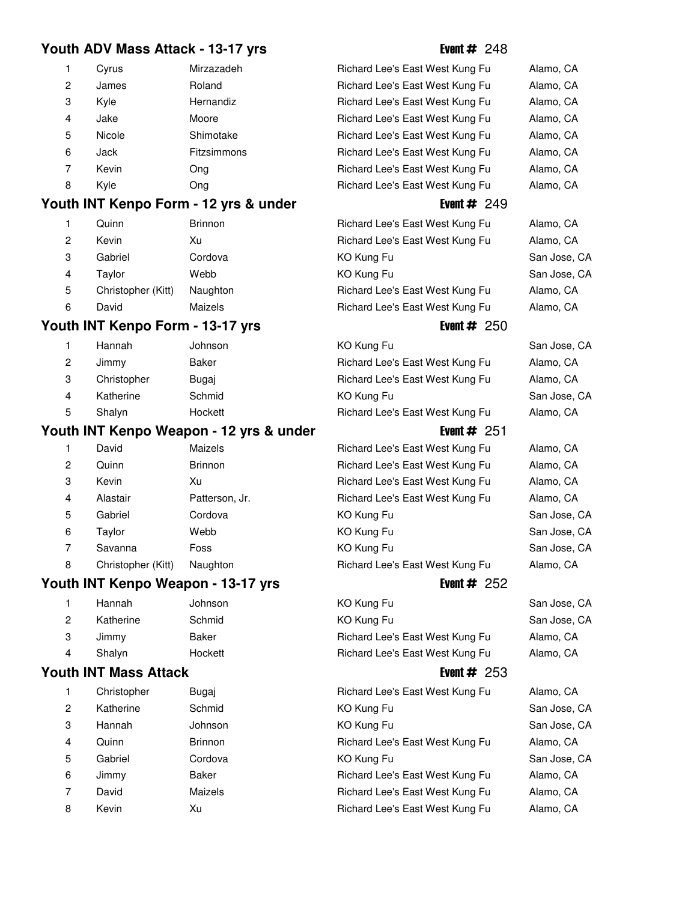## **Youth ADV Mass Attack - 13-17 yrs Event # 248**

| 1            | Cyrus  | Mirzazadeh  |
|--------------|--------|-------------|
| $\mathbf{2}$ | James  | Roland      |
| 3            | Kyle   | Hernandiz   |
| 4            | Jake   | Moore       |
| 5            | Nicole | Shimotake   |
| 6            | Jack   | Fitzsimmons |
| 7            | Kevin  | Ong         |
| 8            | Kyle   | Ona         |

## **Youth INT Kenpo Form - 12 yrs & under** Figure 249

|    | Quinn              | <b>Brinnon</b> | Richard Lee's East West Kung Fu | Alamo, CA |
|----|--------------------|----------------|---------------------------------|-----------|
| 2  | Kevin              | Xu             | Richard Lee's East West Kung Fu | Alamo, CA |
| 3  | Gabriel            | Cordova        | KO Kung Fu                      | San Jose, |
| 4  | Tavlor             | Webb           | KO Kung Fu                      | San Jose, |
| 5. | Christopher (Kitt) | Naughton       | Richard Lee's East West Kung Fu | Alamo, CA |
| 6  | David              | Maizels        | Richard Lee's East West Kung Fu | Alamo, CA |

# **Youth INT Kenpo Form - 13-17 yrs** Event # 250

| 1 | Hannah      | Johnson      |
|---|-------------|--------------|
| 2 | Jimmy       | <b>Baker</b> |
| 3 | Christopher | Bugaj        |
| 4 | Katherine   | Schmid       |
| 5 | Shalyn      | Hockett      |
|   |             |              |

## **Youth INT Kenpo Weapon - 12 yrs & under** Event # 251

| 1 | David              | Maizels        |
|---|--------------------|----------------|
| 2 | Quinn              | <b>Brinnon</b> |
| 3 | Kevin              | Хu             |
| 4 | Alastair           | Patterson, Jr. |
| 5 | Gabriel            | Cordova        |
| 6 | Taylor             | Webb           |
| 7 | Savanna            | Foss           |
| 8 | Christopher (Kitt) | Naughton       |

## **Youth INT Kenpo Weapon - 13-17 yrs Event # 252**

|   | Hannah    | Johnson |
|---|-----------|---------|
| 2 | Katherine | Schmid  |
| 3 | Jimmy     | Baker   |
| 4 | Shalyn    | Hockett |

## **Youth INT Mass Attack Event # 253**

| 1              | Christopher | Bugaj          |
|----------------|-------------|----------------|
| $\overline{c}$ | Katherine   | Schmid         |
| 3              | Hannah      | Johnson        |
| 4              | Quinn       | <b>Brinnon</b> |
| 5              | Gabriel     | Cordova        |
| 6              | Jimmy       | Baker          |
| 7              | David       | Maizels        |
| 8              | Kevin       | Χu             |
|                |             |                |

|    | Cyrus  | Mirzazadeh         | Richard Lee's East West Kung Fu | Alamo, CA |
|----|--------|--------------------|---------------------------------|-----------|
| 2  | James  | Roland             | Richard Lee's East West Kung Fu | Alamo, CA |
| 3  | Kyle   | Hernandiz          | Richard Lee's East West Kung Fu | Alamo, CA |
| 4  | Jake   | Moore              | Richard Lee's East West Kung Fu | Alamo, CA |
| 5. | Nicole | Shimotake          | Richard Lee's East West Kung Fu | Alamo, CA |
| 6  | Jack   | <b>Fitzsimmons</b> | Richard Lee's East West Kung Fu | Alamo, CA |
|    | Kevin  | Ong                | Richard Lee's East West Kung Fu | Alamo, CA |
| 8  | Kvle   | Ong                | Richard Lee's East West Kung Fu | Alamo, CA |
|    |        |                    |                                 |           |

| Richard Lee's East West Kung Fu | Alamo, CA    |
|---------------------------------|--------------|
| Richard Lee's East West Kung Fu | Alamo, CA    |
| KO Kung Fu                      | San Jose, CA |
| KO Kung Fu                      | San Jose, CA |
| Richard Lee's East West Kung Fu | Alamo, CA    |
| Richard Lee's East West Kung Fu | Alamo, CA    |
|                                 |              |

# 1 KO Kung Fu San Jose, CA Richard Lee's East West Kung Fu Alamo, CA Richard Lee's East West Kung Fu Alamo, CA KO Kung Fu San Jose, CA Richard Lee's East West Kung Fu Alamo, CA

Richard Lee's East West Kung Fu Alamo, CA Richard Lee's East West Kung Fu Alamo, CA Richard Lee's East West Kung Fu Alamo, CA Richard Lee's East West Kung Fu Alamo, CA KO Kung Fu San Jose, CA KO Kung Fu San Jose, CA 7 KO Kung Fu San Jose, CA Richard Lee's East West Kung Fu Alamo, CA

1 KO Kung Fu San Jose, CA 21 KO Kung Fu San Jose, CA Richard Lee's East West Kung Fu Alamo, CA Richard Lee's East West Kung Fu Alamo, CA

Richard Lee's East West Kung Fu Alamo, CA 21 KO Kung Fu San Jose, CA KO Kung Fu San Jose, CA Richard Lee's East West Kung Fu Alamo, CA KO Kung Fu San Jose, CA Richard Lee's East West Kung Fu Alamo, CA Richard Lee's East West Kung Fu Alamo, CA Richard Lee's East West Kung Fu Alamo, CA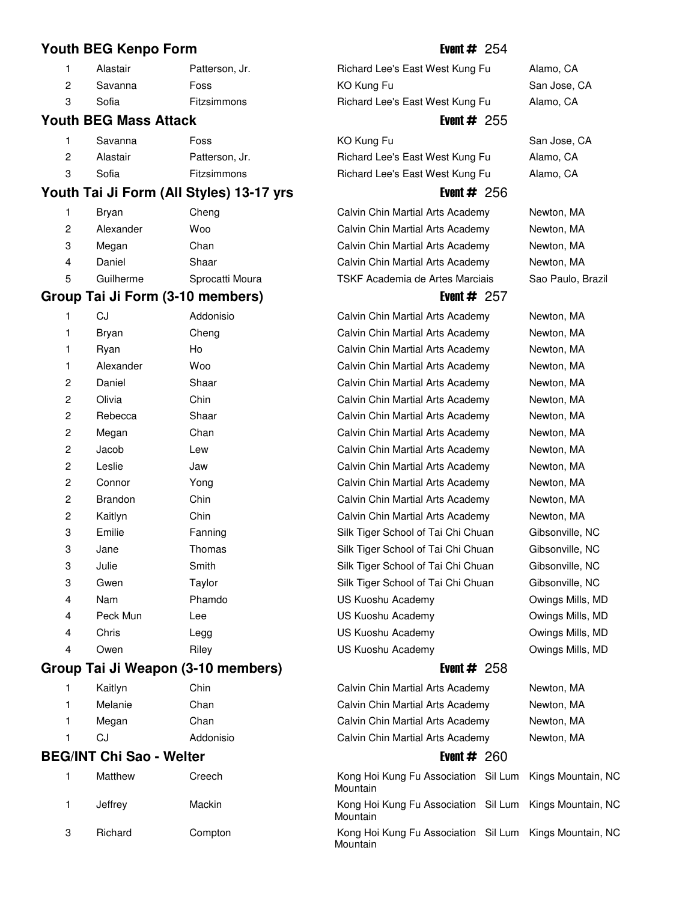## **Youth BEG Kenpo Form Event # 254**

| Alastair | Patterson, |
|----------|------------|
|          |            |

| . . | Savanna | Foss |
|-----|---------|------|
|     |         | -    |

## **Youth BEG Mass Attack Event # 255**

|   | Savanna  | Foss               |
|---|----------|--------------------|
| 2 | Alastair | Patterson, Jr.     |
| 3 | Sofia    | <b>Fitzsimmons</b> |

# **Youth Tai Ji Form (All Styles) 13-17 yrs Event # 256**

| Bryan     | Cheng           |
|-----------|-----------------|
| Alexander | Woo             |
| Megan     | Chan            |
| Daniel    | Shaar           |
| Guilherme | Sprocatti Moura |
|           |                 |

## Group Tai Ji Form (3-10 members) Event # 257

| 1                       | CJ             | Addonisio |
|-------------------------|----------------|-----------|
| 1                       | Bryan          | Cheng     |
| 1                       | Ryan           | Ho        |
| 1                       | Alexander      | Woo       |
| 2                       | Daniel         | Shaar     |
| $\overline{c}$          | Olivia         | Chin      |
| $\overline{\mathbf{c}}$ | Rebecca        | Shaar     |
| 2                       | Megan          | Chan      |
| $\overline{c}$          | Jacob          | Lew       |
| $\overline{c}$          | Leslie         | Jaw       |
| $\overline{c}$          | Connor         | Yong      |
| $\overline{c}$          | <b>Brandon</b> | Chin      |
| $\overline{c}$          | Kaitlyn        | Chin      |
| 3                       | Emilie         | Fanning   |
| 3                       | Jane           | Thomas    |
| 3                       | Julie          | Smith     |
| 3                       | Gwen           | Taylor    |
| 4                       | Nam            | Phamdo    |
| 4                       | Peck Mun       | Lee       |
| 4                       | Chris          | Legg      |
| 4                       | Owen           | Riley     |
|                         | . .            |           |

# Group Tai Ji Weapon (3-10 members) **Example 1 and Struck 258**

|   | Kaitlyn | Chin      |
|---|---------|-----------|
|   | Melanie | Chan      |
| 1 | Megan   | Chan      |
| 1 | CJ.     | Addonisio |

## **BEG/INT Chi Sao - Welter**

| 1 | Matthew | Creech  |
|---|---------|---------|
| 1 | Jeffrey | Mackin  |
| 3 | Richard | Compton |

Jr. **1.1 Alastair Patters Alamo**, CA Richard Lee's East West Kung Fu Alamo, CA 2 KO Kung Fu San Jose, CA 3 Sofia **Fitzsimmons** Richard Lee's East West Kung Fu Alamo, CA

1 KO Kung Fu San Jose, CA Richard Lee's East West Kung Fu Alamo, CA Richard Lee's East West Kung Fu Alamo, CA

Calvin Chin Martial Arts Academy Newton, MA Calvin Chin Martial Arts Academy Newton, MA Calvin Chin Martial Arts Academy Newton, MA Calvin Chin Martial Arts Academy Newton, MA TSKF Academia de Artes Marciais Sao Paulo, Brazil

Calvin Chin Martial Arts Academy Newton, MA Calvin Chin Martial Arts Academy Newton, MA Calvin Chin Martial Arts Academy Newton, MA Calvin Chin Martial Arts Academy Newton, MA Calvin Chin Martial Arts Academy Newton, MA Calvin Chin Martial Arts Academy Newton, MA Calvin Chin Martial Arts Academy Newton, MA Calvin Chin Martial Arts Academy Newton, MA Calvin Chin Martial Arts Academy Newton, MA Calvin Chin Martial Arts Academy Newton, MA Calvin Chin Martial Arts Academy Newton, MA Calvin Chin Martial Arts Academy Newton, MA Calvin Chin Martial Arts Academy Newton, MA Silk Tiger School of Tai Chi Chuan Gibsonville, NC Silk Tiger School of Tai Chi Chuan Gibsonville, NC Silk Tiger School of Tai Chi Chuan Gibsonville, NC Silk Tiger School of Tai Chi Chuan Gibsonville, NC US Kuoshu Academy **Owings Mills, MD** US Kuoshu Academy **Owings Mills, MD** US Kuoshu Academy **Owings Mills, MD** US Kuoshu Academy **Owings Mills, MD** 

| 1 | Kaitlyn                       | Chin      | Calvin Chin Martial Arts Academy                                    | Newton, MA |
|---|-------------------------------|-----------|---------------------------------------------------------------------|------------|
| 1 | Melanie                       | Chan      | Calvin Chin Martial Arts Academy                                    | Newton, MA |
| 1 | Megan                         | Chan      | Calvin Chin Martial Arts Academy                                    | Newton, MA |
|   | CJ                            | Addonisio | Calvin Chin Martial Arts Academy                                    | Newton, MA |
|   | <b>G/INT Chi Sao - Welter</b> |           | Event $#260$                                                        |            |
|   | Matthew                       | Creech    | Kong Hoi Kung Fu Association Sil Lum Kings Mountain, NC<br>Mountain |            |
|   | Jeffrey                       | Mackin    | Kong Hoi Kung Fu Association Sil Lum Kings Mountain, NC<br>Mountain |            |
| c | Dichard                       | Compton   | Kong Hoj Kung Eu Acconistion - Sil Lum - Kings Mountain - NC        |            |

Kong Hoi Kung Fu Association Sil Lum Kings Mountain, NC **Mountain**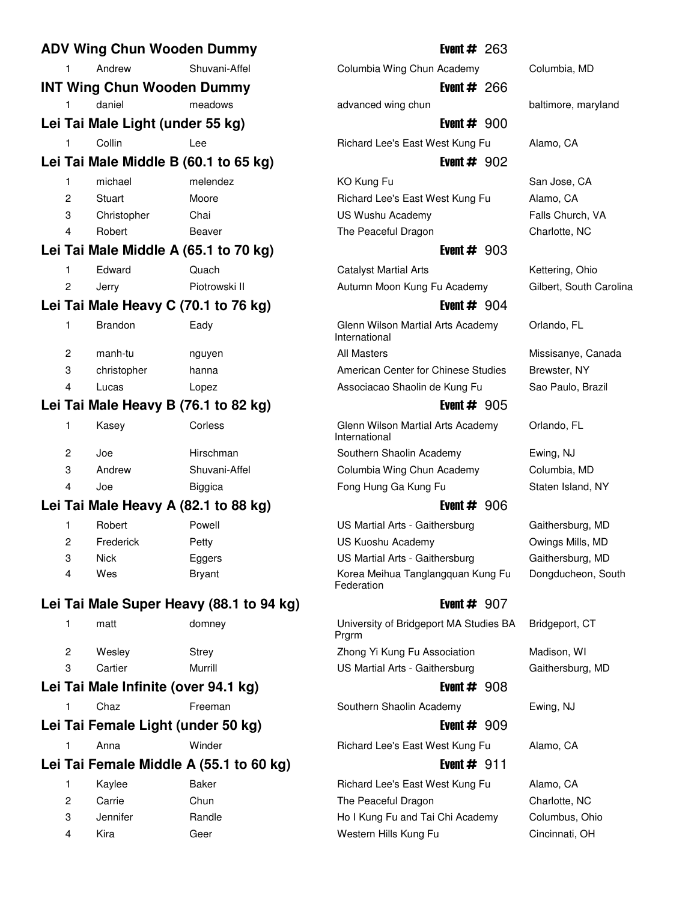| <b>ADV Wing Chun Wooden Dummy</b>       |                                   |                                          |  |  |
|-----------------------------------------|-----------------------------------|------------------------------------------|--|--|
| 1                                       | Andrew                            | Shuvani-Affel                            |  |  |
|                                         | <b>INT Wing Chun Wooden Dummy</b> |                                          |  |  |
| 1                                       | daniel                            | meadows                                  |  |  |
|                                         | Lei Tai Male Light (under 55 kg)  |                                          |  |  |
| 1                                       | Collin                            | Lee                                      |  |  |
|                                         |                                   | Lei Tai Male Middle B (60.1 to 65 kg)    |  |  |
| 1                                       | michael                           | melendez                                 |  |  |
| 2                                       | Stuart                            | Moore                                    |  |  |
| 3                                       | Christopher                       | Chai                                     |  |  |
| 4                                       | Robert                            | Beaver                                   |  |  |
|                                         |                                   | Lei Tai Male Middle A (65.1 to 70 kg)    |  |  |
| 1                                       | Edward                            | Quach                                    |  |  |
| 2                                       | Jerry                             | Piotrowski II                            |  |  |
|                                         |                                   | Lei Tai Male Heavy C (70.1 to 76 kg)     |  |  |
| 1                                       | <b>Brandon</b>                    | Eady                                     |  |  |
| $\overline{c}$                          | manh-tu                           | nguyen                                   |  |  |
| 3                                       | christopher                       | hanna                                    |  |  |
| 4                                       | Lucas                             | Lopez                                    |  |  |
|                                         |                                   | Lei Tai Male Heavy B (76.1 to 82 kg)     |  |  |
| 1                                       | Kasey                             | Corless                                  |  |  |
| 2                                       | Joe                               | Hirschman                                |  |  |
| 3                                       | Andrew                            | Shuvani-Affel                            |  |  |
| 4                                       | Joe                               | Biggica                                  |  |  |
|                                         |                                   | Lei Tai Male Heavy A (82.1 to 88 kg)     |  |  |
| 1                                       | Robert                            | Powell                                   |  |  |
| 2                                       | Frederick                         | Petty                                    |  |  |
| 3                                       | <b>Nick</b>                       | Eggers                                   |  |  |
| 4                                       | Wes                               | <b>Bryant</b>                            |  |  |
|                                         |                                   | Lei Tai Male Super Heavy (88.1 to 94 kg) |  |  |
| 1                                       | matt                              | domney                                   |  |  |
| 2                                       | Wesley                            | <b>Strey</b>                             |  |  |
| 3                                       | Cartier                           | Murrill                                  |  |  |
|                                         |                                   | Lei Tai Male Infinite (over 94.1 kg)     |  |  |
| 1                                       | Chaz                              | Freeman                                  |  |  |
|                                         |                                   | Lei Tai Female Light (under 50 kg)       |  |  |
| 1                                       | Anna                              | Winder                                   |  |  |
| Lei Tai Female Middle A (55.1 to 60 kg) |                                   |                                          |  |  |
| 1                                       | Kaylee                            | <b>Baker</b>                             |  |  |
| 2                                       | Carrie                            | Chun                                     |  |  |
| 3                                       | Jennifer                          | Randle                                   |  |  |
| 4                                       | Kira                              | Geer                                     |  |  |
|                                         |                                   |                                          |  |  |

## **Event # 263**

Columbia Wing Chun Academy Columbia, MD **Event # 266** 

**Event**  $#$  900 Richard Lee's East West Kung Fu Alamo, CA

**Event # 902** 

1 KO Kung Fu San Jose, CA Richard Lee's East West Kung Fu Alamo, CA US Wushu Academy Falls Church, VA The Peaceful Dragon Charlotte, NC

## **Event # 903**

**1** Catalyst Martial Arts **Catalyst Martial Arts** Kettering, Ohio Autumn Moon Kung Fu Academy Gilbert, South Carolina

## **Event # 904**

Glenn Wilson Martial Arts Academy Orlando, FL International All Masters **22 manufaturen 21 manufaturen 21 manufaturen 21 manufaturen 21 manufaturen 21 manufaturen 21 manufaturen 21 manufaturen 21 manufaturen 2010 manufaturen 2010 manufaturen 2010 manufaturen 2010 manufaturen 2010 m** American Center for Chinese Studies Brewster, NY

## **Event # 905**

Glenn Wilson Martial Arts Academy Orlando, FL International Southern Shaolin Academy Ewing, NJ Columbia Wing Chun Academy Columbia, MD

## **Event # 906**

US Martial Arts - Gaithersburg Gaithersburg, MD US Kuoshu Academy **Owings Mills, MD** US Martial Arts - Gaithersburg Gaithersburg, MD Korea Meihua Tanglangquan Kung Fu Dongducheon, South Federation

## **Event # 907**

University of Bridgeport MA Studies BA Bridgeport, CT Prgrm Zhong Yi Kung Fu Association Madison, WI

## **Event # 908**

Southern Shaolin Academy Ewing, NJ

## **Event # 909**

Richard Lee's East West Kung Fu Alamo, CA

# **Event # 911**

Richard Lee's East West Kung Fu Alamo, CA The Peaceful Dragon Charlotte, NC Ho I Kung Fu and Tai Chi Academy Columbus, Ohio Western Hills Kung Fu Cincinnati, OH

advanced wing chun baltimore, maryland

Associacao Shaolin de Kung Fu Sao Paulo, Brazil

Fong Hung Ga Kung Fu Staten Island, NY

US Martial Arts - Gaithersburg Gaithersburg, MD